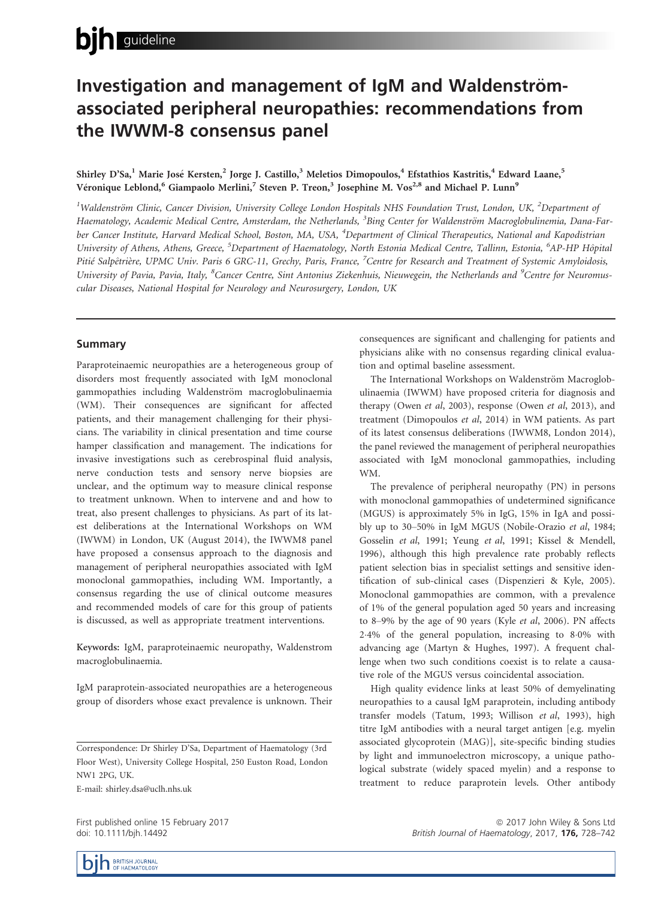# Investigation and management of IgM and Waldenströmassociated peripheral neuropathies: recommendations from the IWWM-8 consensus panel

# Shirley D'Sa, $^1$  Marie José Kersten, $^2$  Jorge J. Castillo, $^3$  Meletios Dimopoulos, $^4$  Efstathios Kastritis, $^4$  Edward Laane, $^5$ Véronique Leblond, $^6$  Giampaolo Merlini, $^7$  Steven P. Treon, $^3$  Josephine M. Vos $^{2,8}$  and Michael P. Lunn $^9$

 $^1$ Waldenström Clinic, Cancer Division, University College London Hospitals NHS Foundation Trust, London, UK,  $^2$ Department of Haematology, Academic Medical Centre, Amsterdam, the Netherlands, <sup>3</sup>Bing Center for Waldenström Macroglobulinemia, Dana-Farber Cancer Institute, Harvard Medical School, Boston, MA, USA, <sup>4</sup>Department of Clinical Therapeutics, National and Kapodistrian University of Athens, Athens, Greece, <sup>5</sup>Department of Haematology, North Estonia Medical Centre, Tallinn, Estonia, <sup>6</sup>AP-HP Hôpital Pitié Salpêtrière, UPMC Univ. Paris 6 GRC-11, Grechy, Paris, France, <sup>7</sup>Centre for Research and Treatment of Systemic Amyloidosis, University of Pavia, Pavia, Italy, <sup>8</sup>Cancer Centre, Sint Antonius Ziekenhuis, Nieuwegein, the Netherlands and <sup>9</sup>Centre for Neuromuscular Diseases, National Hospital for Neurology and Neurosurgery, London, UK

## Summary

Paraproteinaemic neuropathies are a heterogeneous group of disorders most frequently associated with IgM monoclonal gammopathies including Waldenström macroglobulinaemia (WM). Their consequences are significant for affected patients, and their management challenging for their physicians. The variability in clinical presentation and time course hamper classification and management. The indications for invasive investigations such as cerebrospinal fluid analysis, nerve conduction tests and sensory nerve biopsies are unclear, and the optimum way to measure clinical response to treatment unknown. When to intervene and and how to treat, also present challenges to physicians. As part of its latest deliberations at the International Workshops on WM (IWWM) in London, UK (August 2014), the IWWM8 panel have proposed a consensus approach to the diagnosis and management of peripheral neuropathies associated with IgM monoclonal gammopathies, including WM. Importantly, a consensus regarding the use of clinical outcome measures and recommended models of care for this group of patients is discussed, as well as appropriate treatment interventions.

Keywords: IgM, paraproteinaemic neuropathy, Waldenstrom macroglobulinaemia.

IgM paraprotein-associated neuropathies are a heterogeneous group of disorders whose exact prevalence is unknown. Their

Correspondence: Dr Shirley D'Sa, Department of Haematology (3rd Floor West), University College Hospital, 250 Euston Road, London NW1 2PG, UK. E-mail: shirley.dsa@uclh.nhs.uk

First published online 15 February 2017 doi: 10.1111/bjh.14492

consequences are significant and challenging for patients and physicians alike with no consensus regarding clinical evaluation and optimal baseline assessment.

The International Workshops on Waldenström Macroglobulinaemia (IWWM) have proposed criteria for diagnosis and therapy (Owen et al, 2003), response (Owen et al, 2013), and treatment (Dimopoulos et al, 2014) in WM patients. As part of its latest consensus deliberations (IWWM8, London 2014), the panel reviewed the management of peripheral neuropathies associated with IgM monoclonal gammopathies, including WM.

The prevalence of peripheral neuropathy (PN) in persons with monoclonal gammopathies of undetermined significance (MGUS) is approximately 5% in IgG, 15% in IgA and possibly up to 30–50% in IgM MGUS (Nobile-Orazio et al, 1984; Gosselin et al, 1991; Yeung et al, 1991; Kissel & Mendell, 1996), although this high prevalence rate probably reflects patient selection bias in specialist settings and sensitive identification of sub-clinical cases (Dispenzieri & Kyle, 2005). Monoclonal gammopathies are common, with a prevalence of 1% of the general population aged 50 years and increasing to 8–9% by the age of 90 years (Kyle et al, 2006). PN affects 24% of the general population, increasing to 80% with advancing age (Martyn & Hughes, 1997). A frequent challenge when two such conditions coexist is to relate a causative role of the MGUS versus coincidental association.

High quality evidence links at least 50% of demyelinating neuropathies to a causal IgM paraprotein, including antibody transfer models (Tatum, 1993; Willison et al, 1993), high titre IgM antibodies with a neural target antigen [e.g. myelin associated glycoprotein (MAG)], site-specific binding studies by light and immunoelectron microscopy, a unique pathological substrate (widely spaced myelin) and a response to treatment to reduce paraprotein levels. Other antibody

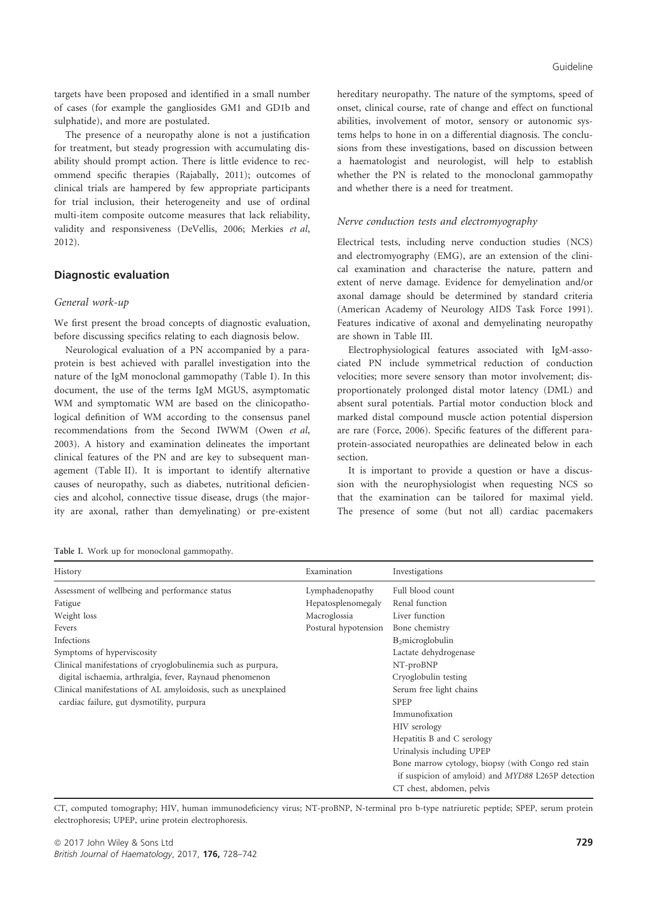targets have been proposed and identified in a small number of cases (for example the gangliosides GM1 and GD1b and sulphatide), and more are postulated.

The presence of a neuropathy alone is not a justification for treatment, but steady progression with accumulating disability should prompt action. There is little evidence to recommend specific therapies (Rajabally, 2011); outcomes of clinical trials are hampered by few appropriate participants for trial inclusion, their heterogeneity and use of ordinal multi-item composite outcome measures that lack reliability, validity and responsiveness (DeVellis, 2006; Merkies et al, 2012).

## Diagnostic evaluation

### General work-up

We first present the broad concepts of diagnostic evaluation, before discussing specifics relating to each diagnosis below.

Neurological evaluation of a PN accompanied by a paraprotein is best achieved with parallel investigation into the nature of the IgM monoclonal gammopathy (Table I). In this document, the use of the terms IgM MGUS, asymptomatic WM and symptomatic WM are based on the clinicopathological definition of WM according to the consensus panel recommendations from the Second IWWM (Owen et al, 2003). A history and examination delineates the important clinical features of the PN and are key to subsequent management (Table II). It is important to identify alternative causes of neuropathy, such as diabetes, nutritional deficiencies and alcohol, connective tissue disease, drugs (the majority are axonal, rather than demyelinating) or pre-existent hereditary neuropathy. The nature of the symptoms, speed of onset, clinical course, rate of change and effect on functional abilities, involvement of motor, sensory or autonomic systems helps to hone in on a differential diagnosis. The conclusions from these investigations, based on discussion between a haematologist and neurologist, will help to establish whether the PN is related to the monoclonal gammopathy and whether there is a need for treatment.

#### Nerve conduction tests and electromyography

Electrical tests, including nerve conduction studies (NCS) and electromyography (EMG), are an extension of the clinical examination and characterise the nature, pattern and extent of nerve damage. Evidence for demyelination and/or axonal damage should be determined by standard criteria (American Academy of Neurology AIDS Task Force 1991). Features indicative of axonal and demyelinating neuropathy are shown in Table III.

Electrophysiological features associated with IgM-associated PN include symmetrical reduction of conduction velocities; more severe sensory than motor involvement; disproportionately prolonged distal motor latency (DML) and absent sural potentials. Partial motor conduction block and marked distal compound muscle action potential dispersion are rare (Force, 2006). Specific features of the different paraprotein-associated neuropathies are delineated below in each section.

It is important to provide a question or have a discussion with the neurophysiologist when requesting NCS so that the examination can be tailored for maximal yield. The presence of some (but not all) cardiac pacemakers

Table I. Work up for monoclonal gammopathy.

| History                                                        | Examination          | Investigations                                                                                                                        |
|----------------------------------------------------------------|----------------------|---------------------------------------------------------------------------------------------------------------------------------------|
| Assessment of wellbeing and performance status                 | Lymphadenopathy      | Full blood count                                                                                                                      |
| Fatigue                                                        | Hepatosplenomegaly   | Renal function                                                                                                                        |
| Weight loss                                                    | Macroglossia         | Liver function                                                                                                                        |
| Fevers                                                         | Postural hypotension | Bone chemistry                                                                                                                        |
| Infections                                                     |                      | $B_2$ microglobulin                                                                                                                   |
| Symptoms of hyperviscosity                                     |                      | Lactate dehydrogenase                                                                                                                 |
| Clinical manifestations of cryoglobulinemia such as purpura,   |                      | NT-proBNP                                                                                                                             |
| digital ischaemia, arthralgia, fever, Raynaud phenomenon       |                      | Cryoglobulin testing                                                                                                                  |
| Clinical manifestations of AL amyloidosis, such as unexplained |                      | Serum free light chains                                                                                                               |
| cardiac failure, gut dysmotility, purpura                      |                      | <b>SPEP</b>                                                                                                                           |
|                                                                |                      | Immunofixation                                                                                                                        |
|                                                                |                      | HIV serology                                                                                                                          |
|                                                                |                      | Hepatitis B and C serology                                                                                                            |
|                                                                |                      | Urinalysis including UPEP                                                                                                             |
|                                                                |                      | Bone marrow cytology, biopsy (with Congo red stain<br>if suspicion of amyloid) and MYD88 L265P detection<br>CT chest, abdomen, pelvis |

CT, computed tomography; HIV, human immunodeficiency virus; NT-proBNP, N-terminal pro b-type natriuretic peptide; SPEP, serum protein electrophoresis; UPEP, urine protein electrophoresis.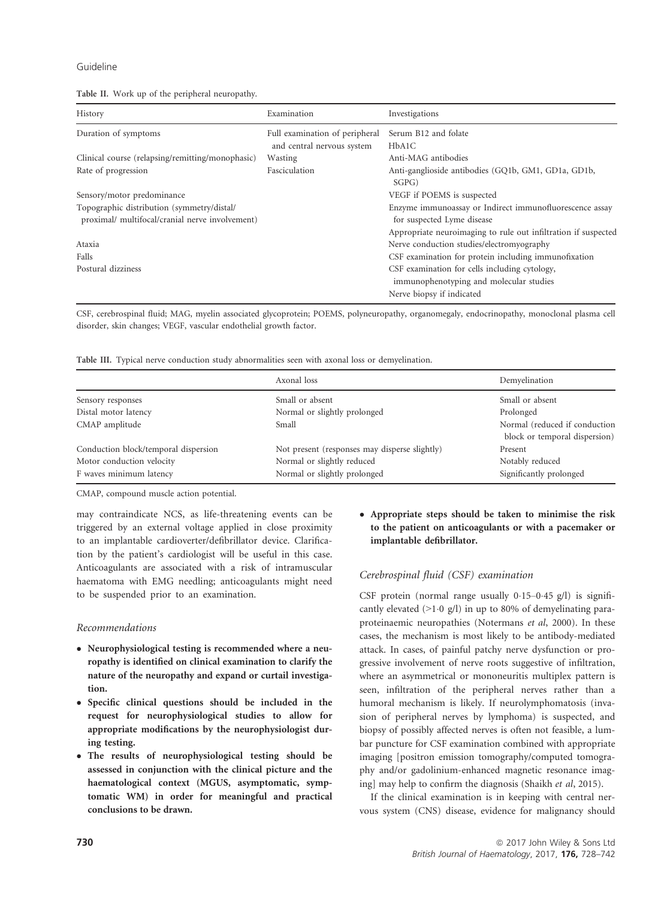# Guideline

#### Table II. Work up of the peripheral neuropathy.

| History                                          | Examination                    | Investigations                                                 |
|--------------------------------------------------|--------------------------------|----------------------------------------------------------------|
| Duration of symptoms                             | Full examination of peripheral | Serum B12 and folate                                           |
|                                                  | and central nervous system     | HbA1C                                                          |
| Clinical course (relapsing/remitting/monophasic) | Wasting                        | Anti-MAG antibodies                                            |
| Rate of progression                              | Fasciculation                  | Anti-ganglioside antibodies (GQ1b, GM1, GD1a, GD1b,<br>SGPG    |
| Sensory/motor predominance                       |                                | VEGF if POEMS is suspected                                     |
| Topographic distribution (symmetry/distal/       |                                | Enzyme immunoassay or Indirect immunofluorescence assay        |
| proximal/ multifocal/cranial nerve involvement)  |                                | for suspected Lyme disease                                     |
|                                                  |                                | Appropriate neuroimaging to rule out infiltration if suspected |
| Ataxia                                           |                                | Nerve conduction studies/electromyography                      |
| Falls                                            |                                | CSF examination for protein including immunofixation           |
| Postural dizziness                               |                                | CSF examination for cells including cytology,                  |
|                                                  |                                | immunophenotyping and molecular studies                        |
|                                                  |                                | Nerve biopsy if indicated                                      |

CSF, cerebrospinal fluid; MAG, myelin associated glycoprotein; POEMS, polyneuropathy, organomegaly, endocrinopathy, monoclonal plasma cell disorder, skin changes; VEGF, vascular endothelial growth factor.

|  |  |  |  |  |  |  |  | Table III. Typical nerve conduction study abnormalities seen with axonal loss or demyelination. |
|--|--|--|--|--|--|--|--|-------------------------------------------------------------------------------------------------|
|--|--|--|--|--|--|--|--|-------------------------------------------------------------------------------------------------|

|                                      | Axonal loss                                   | Demyelination                                                  |
|--------------------------------------|-----------------------------------------------|----------------------------------------------------------------|
| Sensory responses                    | Small or absent                               | Small or absent                                                |
| Distal motor latency                 | Normal or slightly prolonged                  | Prolonged                                                      |
| CMAP amplitude                       | Small                                         | Normal (reduced if conduction<br>block or temporal dispersion) |
| Conduction block/temporal dispersion | Not present (responses may disperse slightly) | Present                                                        |
| Motor conduction velocity            | Normal or slightly reduced                    | Notably reduced                                                |
| F waves minimum latency              | Normal or slightly prolonged                  | Significantly prolonged                                        |

CMAP, compound muscle action potential.

may contraindicate NCS, as life-threatening events can be triggered by an external voltage applied in close proximity to an implantable cardioverter/defibrillator device. Clarification by the patient's cardiologist will be useful in this case. Anticoagulants are associated with a risk of intramuscular haematoma with EMG needling; anticoagulants might need to be suspended prior to an examination.

# Recommendations

- Neurophysiological testing is recommended where a neuropathy is identified on clinical examination to clarify the nature of the neuropathy and expand or curtail investigation.
- Specific clinical questions should be included in the request for neurophysiological studies to allow for appropriate modifications by the neurophysiologist during testing.
- The results of neurophysiological testing should be assessed in conjunction with the clinical picture and the haematological context (MGUS, asymptomatic, symptomatic WM) in order for meaningful and practical conclusions to be drawn.

 Appropriate steps should be taken to minimise the risk to the patient on anticoagulants or with a pacemaker or implantable defibrillator.

# Cerebrospinal fluid (CSF) examination

CSF protein (normal range usually  $0.15-0.45$  g/l) is significantly elevated  $(>1.0 \text{ g/l})$  in up to 80% of demyelinating paraproteinaemic neuropathies (Notermans et al, 2000). In these cases, the mechanism is most likely to be antibody-mediated attack. In cases, of painful patchy nerve dysfunction or progressive involvement of nerve roots suggestive of infiltration, where an asymmetrical or mononeuritis multiplex pattern is seen, infiltration of the peripheral nerves rather than a humoral mechanism is likely. If neurolymphomatosis (invasion of peripheral nerves by lymphoma) is suspected, and biopsy of possibly affected nerves is often not feasible, a lumbar puncture for CSF examination combined with appropriate imaging [positron emission tomography/computed tomography and/or gadolinium-enhanced magnetic resonance imaging] may help to confirm the diagnosis (Shaikh et al, 2015).

If the clinical examination is in keeping with central nervous system (CNS) disease, evidence for malignancy should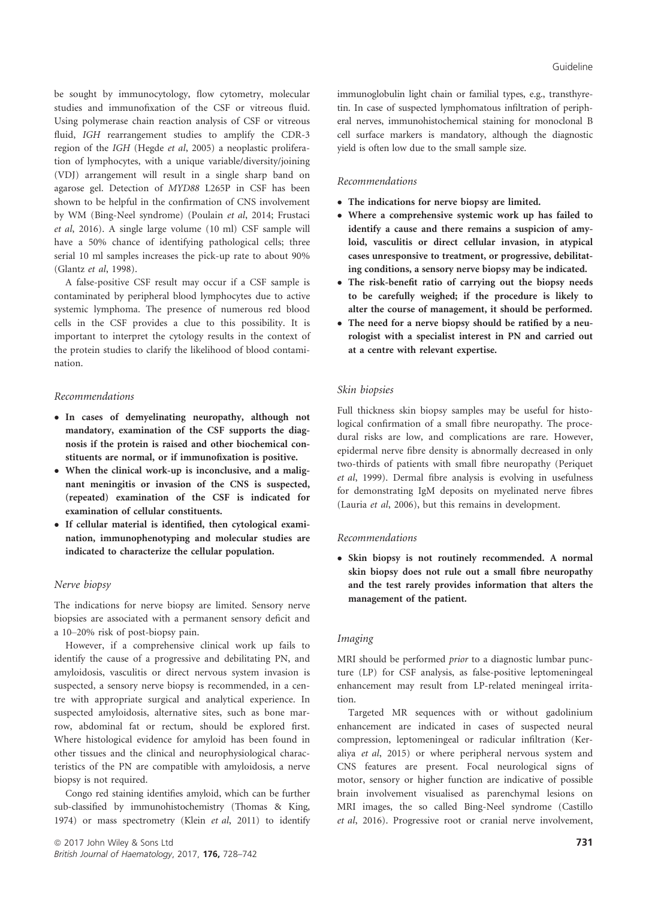be sought by immunocytology, flow cytometry, molecular studies and immunofixation of the CSF or vitreous fluid. Using polymerase chain reaction analysis of CSF or vitreous fluid, IGH rearrangement studies to amplify the CDR-3 region of the IGH (Hegde et al, 2005) a neoplastic proliferation of lymphocytes, with a unique variable/diversity/joining (VDJ) arrangement will result in a single sharp band on agarose gel. Detection of MYD88 L265P in CSF has been shown to be helpful in the confirmation of CNS involvement by WM (Bing-Neel syndrome) (Poulain et al, 2014; Frustaci et al, 2016). A single large volume (10 ml) CSF sample will have a 50% chance of identifying pathological cells; three serial 10 ml samples increases the pick-up rate to about 90% (Glantz et al, 1998).

A false-positive CSF result may occur if a CSF sample is contaminated by peripheral blood lymphocytes due to active systemic lymphoma. The presence of numerous red blood cells in the CSF provides a clue to this possibility. It is important to interpret the cytology results in the context of the protein studies to clarify the likelihood of blood contamination.

## Recommendations

- In cases of demyelinating neuropathy, although not mandatory, examination of the CSF supports the diagnosis if the protein is raised and other biochemical constituents are normal, or if immunofixation is positive.
- When the clinical work-up is inconclusive, and a malignant meningitis or invasion of the CNS is suspected, (repeated) examination of the CSF is indicated for examination of cellular constituents.
- If cellular material is identified, then cytological examination, immunophenotyping and molecular studies are indicated to characterize the cellular population.

#### Nerve biopsy

The indications for nerve biopsy are limited. Sensory nerve biopsies are associated with a permanent sensory deficit and a 10–20% risk of post-biopsy pain.

However, if a comprehensive clinical work up fails to identify the cause of a progressive and debilitating PN, and amyloidosis, vasculitis or direct nervous system invasion is suspected, a sensory nerve biopsy is recommended, in a centre with appropriate surgical and analytical experience. In suspected amyloidosis, alternative sites, such as bone marrow, abdominal fat or rectum, should be explored first. Where histological evidence for amyloid has been found in other tissues and the clinical and neurophysiological characteristics of the PN are compatible with amyloidosis, a nerve biopsy is not required.

Congo red staining identifies amyloid, which can be further sub-classified by immunohistochemistry (Thomas & King, 1974) or mass spectrometry (Klein et al, 2011) to identify immunoglobulin light chain or familial types, e.g., transthyretin. In case of suspected lymphomatous infiltration of peripheral nerves, immunohistochemical staining for monoclonal B cell surface markers is mandatory, although the diagnostic yield is often low due to the small sample size.

#### Recommendations

- The indications for nerve biopsy are limited.
- Where a comprehensive systemic work up has failed to identify a cause and there remains a suspicion of amyloid, vasculitis or direct cellular invasion, in atypical cases unresponsive to treatment, or progressive, debilitating conditions, a sensory nerve biopsy may be indicated.
- The risk-benefit ratio of carrying out the biopsy needs to be carefully weighed; if the procedure is likely to alter the course of management, it should be performed.
- The need for a nerve biopsy should be ratified by a neurologist with a specialist interest in PN and carried out at a centre with relevant expertise.

#### Skin biopsies

Full thickness skin biopsy samples may be useful for histological confirmation of a small fibre neuropathy. The procedural risks are low, and complications are rare. However, epidermal nerve fibre density is abnormally decreased in only two-thirds of patients with small fibre neuropathy (Periquet et al, 1999). Dermal fibre analysis is evolving in usefulness for demonstrating IgM deposits on myelinated nerve fibres (Lauria et al, 2006), but this remains in development.

#### Recommendations

• Skin biopsy is not routinely recommended. A normal skin biopsy does not rule out a small fibre neuropathy and the test rarely provides information that alters the management of the patient.

#### Imaging

MRI should be performed prior to a diagnostic lumbar puncture (LP) for CSF analysis, as false-positive leptomeningeal enhancement may result from LP-related meningeal irritation.

Targeted MR sequences with or without gadolinium enhancement are indicated in cases of suspected neural compression, leptomeningeal or radicular infiltration (Keraliya et al, 2015) or where peripheral nervous system and CNS features are present. Focal neurological signs of motor, sensory or higher function are indicative of possible brain involvement visualised as parenchymal lesions on MRI images, the so called Bing-Neel syndrome (Castillo et al, 2016). Progressive root or cranial nerve involvement,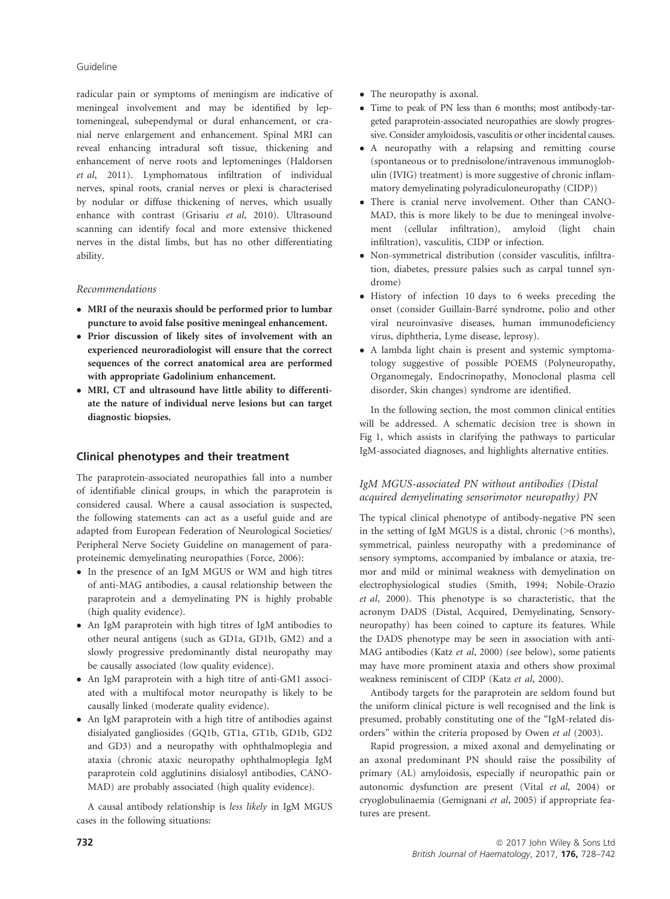# Guideline

radicular pain or symptoms of meningism are indicative of meningeal involvement and may be identified by leptomeningeal, subependymal or dural enhancement, or cranial nerve enlargement and enhancement. Spinal MRI can reveal enhancing intradural soft tissue, thickening and enhancement of nerve roots and leptomeninges (Haldorsen et al, 2011). Lymphomatous infiltration of individual nerves, spinal roots, cranial nerves or plexi is characterised by nodular or diffuse thickening of nerves, which usually enhance with contrast (Grisariu et al, 2010). Ultrasound scanning can identify focal and more extensive thickened nerves in the distal limbs, but has no other differentiating ability.

# Recommendations

- MRI of the neuraxis should be performed prior to lumbar puncture to avoid false positive meningeal enhancement.
- Prior discussion of likely sites of involvement with an experienced neuroradiologist will ensure that the correct sequences of the correct anatomical area are performed with appropriate Gadolinium enhancement.
- MRI, CT and ultrasound have little ability to differentiate the nature of individual nerve lesions but can target diagnostic biopsies.

# Clinical phenotypes and their treatment

The paraprotein-associated neuropathies fall into a number of identifiable clinical groups, in which the paraprotein is considered causal. Where a causal association is suspected, the following statements can act as a useful guide and are adapted from European Federation of Neurological Societies/ Peripheral Nerve Society Guideline on management of paraproteinemic demyelinating neuropathies (Force, 2006):

- In the presence of an IgM MGUS or WM and high titres of anti-MAG antibodies, a causal relationship between the paraprotein and a demyelinating PN is highly probable (high quality evidence).
- An IgM paraprotein with high titres of IgM antibodies to other neural antigens (such as GD1a, GD1b, GM2) and a slowly progressive predominantly distal neuropathy may be causally associated (low quality evidence).
- An IgM paraprotein with a high titre of anti-GM1 associated with a multifocal motor neuropathy is likely to be causally linked (moderate quality evidence).
- An IgM paraprotein with a high titre of antibodies against disialyated gangliosides (GQ1b, GT1a, GT1b, GD1b, GD2 and GD3) and a neuropathy with ophthalmoplegia and ataxia (chronic ataxic neuropathy ophthalmoplegia IgM paraprotein cold agglutinins disialosyl antibodies, CANO-MAD) are probably associated (high quality evidence).

A causal antibody relationship is less likely in IgM MGUS cases in the following situations:

- The neuropathy is axonal.
- Time to peak of PN less than 6 months; most antibody-targeted paraprotein-associated neuropathies are slowly progressive. Consider amyloidosis, vasculitis or other incidental causes.
- A neuropathy with a relapsing and remitting course (spontaneous or to prednisolone/intravenous immunoglobulin (IVIG) treatment) is more suggestive of chronic inflammatory demyelinating polyradiculoneuropathy (CIDP))
- There is cranial nerve involvement. Other than CANO-MAD, this is more likely to be due to meningeal involvement (cellular infiltration), amyloid (light chain infiltration), vasculitis, CIDP or infection.
- Non-symmetrical distribution (consider vasculitis, infiltration, diabetes, pressure palsies such as carpal tunnel syndrome)
- History of infection 10 days to 6 weeks preceding the onset (consider Guillain-Barré syndrome, polio and other viral neuroinvasive diseases, human immunodeficiency virus, diphtheria, Lyme disease, leprosy).
- A lambda light chain is present and systemic symptomatology suggestive of possible POEMS (Polyneuropathy, Organomegaly, Endocrinopathy, Monoclonal plasma cell disorder, Skin changes) syndrome are identified.

In the following section, the most common clinical entities will be addressed. A schematic decision tree is shown in Fig 1, which assists in clarifying the pathways to particular IgM-associated diagnoses, and highlights alternative entities.

# IgM MGUS-associated PN without antibodies (Distal acquired demyelinating sensorimotor neuropathy) PN

The typical clinical phenotype of antibody-negative PN seen in the setting of IgM MGUS is a distal, chronic (>6 months), symmetrical, painless neuropathy with a predominance of sensory symptoms, accompanied by imbalance or ataxia, tremor and mild or minimal weakness with demyelination on electrophysiological studies (Smith, 1994; Nobile-Orazio et al, 2000). This phenotype is so characteristic, that the acronym DADS (Distal, Acquired, Demyelinating, Sensoryneuropathy) has been coined to capture its features. While the DADS phenotype may be seen in association with anti-MAG antibodies (Katz et al, 2000) (see below), some patients may have more prominent ataxia and others show proximal weakness reminiscent of CIDP (Katz et al, 2000).

Antibody targets for the paraprotein are seldom found but the uniform clinical picture is well recognised and the link is presumed, probably constituting one of the "IgM-related disorders" within the criteria proposed by Owen et al (2003).

Rapid progression, a mixed axonal and demyelinating or an axonal predominant PN should raise the possibility of primary (AL) amyloidosis, especially if neuropathic pain or autonomic dysfunction are present (Vital et al, 2004) or cryoglobulinaemia (Gemignani et al, 2005) if appropriate features are present.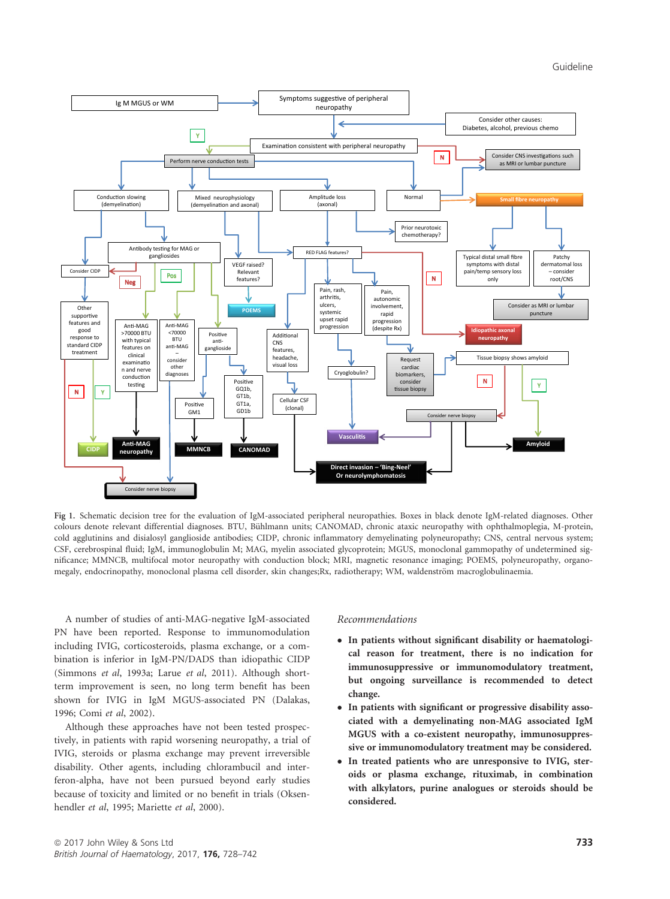## Guideline



Fig 1. Schematic decision tree for the evaluation of IgM-associated peripheral neuropathies. Boxes in black denote IgM-related diagnoses. Other colours denote relevant differential diagnoses. BTU, Bühlmann units; CANOMAD, chronic ataxic neuropathy with ophthalmoplegia, M-protein, cold agglutinins and disialosyl ganglioside antibodies; CIDP, chronic inflammatory demyelinating polyneuropathy; CNS, central nervous system; CSF, cerebrospinal fluid; IgM, immunoglobulin M; MAG, myelin associated glycoprotein; MGUS, monoclonal gammopathy of undetermined significance; MMNCB, multifocal motor neuropathy with conduction block; MRI, magnetic resonance imaging; POEMS, polyneuropathy, organomegaly, endocrinopathy, monoclonal plasma cell disorder, skin changes;Rx, radiotherapy; WM, waldenström macroglobulinaemia.

A number of studies of anti-MAG-negative IgM-associated PN have been reported. Response to immunomodulation including IVIG, corticosteroids, plasma exchange, or a combination is inferior in IgM-PN/DADS than idiopathic CIDP (Simmons et al, 1993a; Larue et al, 2011). Although shortterm improvement is seen, no long term benefit has been shown for IVIG in IgM MGUS-associated PN (Dalakas, 1996; Comi et al, 2002).

Although these approaches have not been tested prospectively, in patients with rapid worsening neuropathy, a trial of IVIG, steroids or plasma exchange may prevent irreversible disability. Other agents, including chlorambucil and interferon-alpha, have not been pursued beyond early studies because of toxicity and limited or no benefit in trials (Oksenhendler et al, 1995; Mariette et al, 2000).

#### Recommendations

- In patients without significant disability or haematological reason for treatment, there is no indication for immunosuppressive or immunomodulatory treatment, but ongoing surveillance is recommended to detect change.
- In patients with significant or progressive disability associated with a demyelinating non-MAG associated IgM MGUS with a co-existent neuropathy, immunosuppressive or immunomodulatory treatment may be considered.
- In treated patients who are unresponsive to IVIG, steroids or plasma exchange, rituximab, in combination with alkylators, purine analogues or steroids should be considered.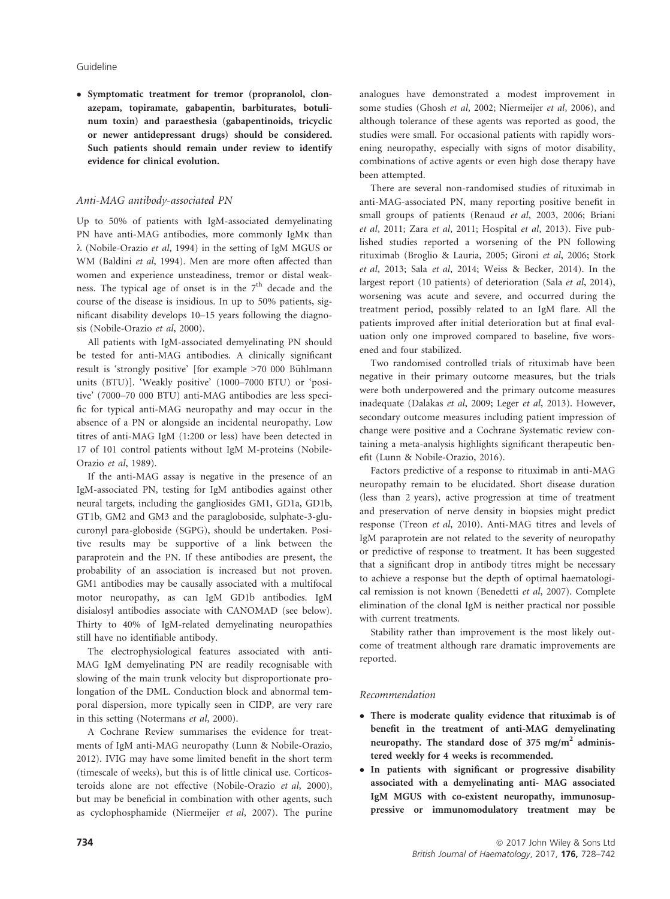Symptomatic treatment for tremor (propranolol, clonazepam, topiramate, gabapentin, barbiturates, botulinum toxin) and paraesthesia (gabapentinoids, tricyclic or newer antidepressant drugs) should be considered. Such patients should remain under review to identify evidence for clinical evolution.

#### Anti-MAG antibody-associated PN

Up to 50% of patients with IgM-associated demyelinating PN have anti-MAG antibodies, more commonly IgMK than  $\lambda$  (Nobile-Orazio *et al*, 1994) in the setting of IgM MGUS or WM (Baldini et al, 1994). Men are more often affected than women and experience unsteadiness, tremor or distal weakness. The typical age of onset is in the  $7<sup>th</sup>$  decade and the course of the disease is insidious. In up to 50% patients, significant disability develops 10–15 years following the diagnosis (Nobile-Orazio et al, 2000).

All patients with IgM-associated demyelinating PN should be tested for anti-MAG antibodies. A clinically significant result is 'strongly positive' [for example  $>70,000$  Bühlmann units (BTU)]. 'Weakly positive' (1000–7000 BTU) or 'positive' (7000–70 000 BTU) anti-MAG antibodies are less specific for typical anti-MAG neuropathy and may occur in the absence of a PN or alongside an incidental neuropathy. Low titres of anti-MAG IgM (1:200 or less) have been detected in 17 of 101 control patients without IgM M-proteins (Nobile-Orazio et al, 1989).

If the anti-MAG assay is negative in the presence of an IgM-associated PN, testing for IgM antibodies against other neural targets, including the gangliosides GM1, GD1a, GD1b, GT1b, GM2 and GM3 and the paragloboside, sulphate-3-glucuronyl para-globoside (SGPG), should be undertaken. Positive results may be supportive of a link between the paraprotein and the PN. If these antibodies are present, the probability of an association is increased but not proven. GM1 antibodies may be causally associated with a multifocal motor neuropathy, as can IgM GD1b antibodies. IgM disialosyl antibodies associate with CANOMAD (see below). Thirty to 40% of IgM-related demyelinating neuropathies still have no identifiable antibody.

The electrophysiological features associated with anti-MAG IgM demyelinating PN are readily recognisable with slowing of the main trunk velocity but disproportionate prolongation of the DML. Conduction block and abnormal temporal dispersion, more typically seen in CIDP, are very rare in this setting (Notermans et al, 2000).

A Cochrane Review summarises the evidence for treatments of IgM anti-MAG neuropathy (Lunn & Nobile-Orazio, 2012). IVIG may have some limited benefit in the short term (timescale of weeks), but this is of little clinical use. Corticosteroids alone are not effective (Nobile-Orazio et al, 2000), but may be beneficial in combination with other agents, such as cyclophosphamide (Niermeijer et al, 2007). The purine

There are several non-randomised studies of rituximab in anti-MAG-associated PN, many reporting positive benefit in small groups of patients (Renaud et al, 2003, 2006; Briani et al, 2011; Zara et al, 2011; Hospital et al, 2013). Five published studies reported a worsening of the PN following rituximab (Broglio & Lauria, 2005; Gironi et al, 2006; Stork et al, 2013; Sala et al, 2014; Weiss & Becker, 2014). In the largest report (10 patients) of deterioration (Sala et al, 2014), worsening was acute and severe, and occurred during the treatment period, possibly related to an IgM flare. All the patients improved after initial deterioration but at final evaluation only one improved compared to baseline, five worsened and four stabilized.

Two randomised controlled trials of rituximab have been negative in their primary outcome measures, but the trials were both underpowered and the primary outcome measures inadequate (Dalakas et al, 2009; Leger et al, 2013). However, secondary outcome measures including patient impression of change were positive and a Cochrane Systematic review containing a meta-analysis highlights significant therapeutic benefit (Lunn & Nobile-Orazio, 2016).

Factors predictive of a response to rituximab in anti-MAG neuropathy remain to be elucidated. Short disease duration (less than 2 years), active progression at time of treatment and preservation of nerve density in biopsies might predict response (Treon et al, 2010). Anti-MAG titres and levels of IgM paraprotein are not related to the severity of neuropathy or predictive of response to treatment. It has been suggested that a significant drop in antibody titres might be necessary to achieve a response but the depth of optimal haematological remission is not known (Benedetti et al, 2007). Complete elimination of the clonal IgM is neither practical nor possible with current treatments.

Stability rather than improvement is the most likely outcome of treatment although rare dramatic improvements are reported.

#### Recommendation

- There is moderate quality evidence that rituximab is of benefit in the treatment of anti-MAG demyelinating neuropathy. The standard dose of  $375 \text{ mg/m}^2$  administered weekly for 4 weeks is recommended.
- In patients with significant or progressive disability associated with a demyelinating anti- MAG associated IgM MGUS with co-existent neuropathy, immunosuppressive or immunomodulatory treatment may be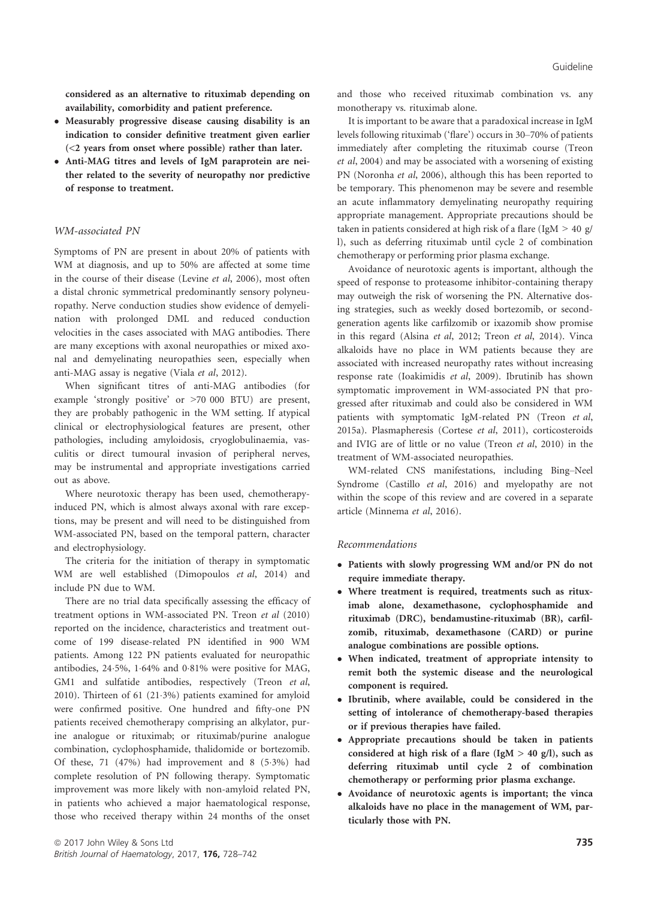considered as an alternative to rituximab depending on availability, comorbidity and patient preference.

- Measurably progressive disease causing disability is an indication to consider definitive treatment given earlier (<2 years from onset where possible) rather than later.
- Anti-MAG titres and levels of IgM paraprotein are neither related to the severity of neuropathy nor predictive of response to treatment.

#### WM-associated PN

Symptoms of PN are present in about 20% of patients with WM at diagnosis, and up to 50% are affected at some time in the course of their disease (Levine et al, 2006), most often a distal chronic symmetrical predominantly sensory polyneuropathy. Nerve conduction studies show evidence of demyelination with prolonged DML and reduced conduction velocities in the cases associated with MAG antibodies. There are many exceptions with axonal neuropathies or mixed axonal and demyelinating neuropathies seen, especially when anti-MAG assay is negative (Viala et al, 2012).

When significant titres of anti-MAG antibodies (for example 'strongly positive' or >70 000 BTU) are present, they are probably pathogenic in the WM setting. If atypical clinical or electrophysiological features are present, other pathologies, including amyloidosis, cryoglobulinaemia, vasculitis or direct tumoural invasion of peripheral nerves, may be instrumental and appropriate investigations carried out as above.

Where neurotoxic therapy has been used, chemotherapyinduced PN, which is almost always axonal with rare exceptions, may be present and will need to be distinguished from WM-associated PN, based on the temporal pattern, character and electrophysiology.

The criteria for the initiation of therapy in symptomatic WM are well established (Dimopoulos et al, 2014) and include PN due to WM.

There are no trial data specifically assessing the efficacy of treatment options in WM-associated PN. Treon et al (2010) reported on the incidence, characteristics and treatment outcome of 199 disease-related PN identified in 900 WM patients. Among 122 PN patients evaluated for neuropathic antibodies,  $24.5\%$ ,  $1.64\%$  and  $0.81\%$  were positive for MAG, GM1 and sulfatide antibodies, respectively (Treon et al, 2010). Thirteen of 61 (213%) patients examined for amyloid were confirmed positive. One hundred and fifty-one PN patients received chemotherapy comprising an alkylator, purine analogue or rituximab; or rituximab/purine analogue combination, cyclophosphamide, thalidomide or bortezomib. Of these, 71 (47%) had improvement and 8 (53%) had complete resolution of PN following therapy. Symptomatic improvement was more likely with non-amyloid related PN, in patients who achieved a major haematological response, those who received therapy within 24 months of the onset

It is important to be aware that a paradoxical increase in IgM levels following rituximab ('flare') occurs in 30–70% of patients immediately after completing the rituximab course (Treon et al, 2004) and may be associated with a worsening of existing PN (Noronha et al, 2006), although this has been reported to be temporary. This phenomenon may be severe and resemble an acute inflammatory demyelinating neuropathy requiring appropriate management. Appropriate precautions should be taken in patients considered at high risk of a flare (IgM  $> 40$  g/ l), such as deferring rituximab until cycle 2 of combination chemotherapy or performing prior plasma exchange.

Avoidance of neurotoxic agents is important, although the speed of response to proteasome inhibitor-containing therapy may outweigh the risk of worsening the PN. Alternative dosing strategies, such as weekly dosed bortezomib, or secondgeneration agents like carfilzomib or ixazomib show promise in this regard (Alsina et al, 2012; Treon et al, 2014). Vinca alkaloids have no place in WM patients because they are associated with increased neuropathy rates without increasing response rate (Ioakimidis et al, 2009). Ibrutinib has shown symptomatic improvement in WM-associated PN that progressed after rituximab and could also be considered in WM patients with symptomatic IgM-related PN (Treon et al, 2015a). Plasmapheresis (Cortese et al, 2011), corticosteroids and IVIG are of little or no value (Treon et al, 2010) in the treatment of WM-associated neuropathies.

WM-related CNS manifestations, including Bing–Neel Syndrome (Castillo et al, 2016) and myelopathy are not within the scope of this review and are covered in a separate article (Minnema et al, 2016).

# Recommendations

- Patients with slowly progressing WM and/or PN do not require immediate therapy.
- Where treatment is required, treatments such as rituximab alone, dexamethasone, cyclophosphamide and rituximab (DRC), bendamustine-rituximab (BR), carfilzomib, rituximab, dexamethasone (CARD) or purine analogue combinations are possible options.
- When indicated, treatment of appropriate intensity to remit both the systemic disease and the neurological component is required.
- Ibrutinib, where available, could be considered in the setting of intolerance of chemotherapy-based therapies or if previous therapies have failed.
- Appropriate precautions should be taken in patients considered at high risk of a flare (IgM  $>$  40 g/l), such as deferring rituximab until cycle 2 of combination chemotherapy or performing prior plasma exchange.
- Avoidance of neurotoxic agents is important; the vinca alkaloids have no place in the management of WM, particularly those with PN.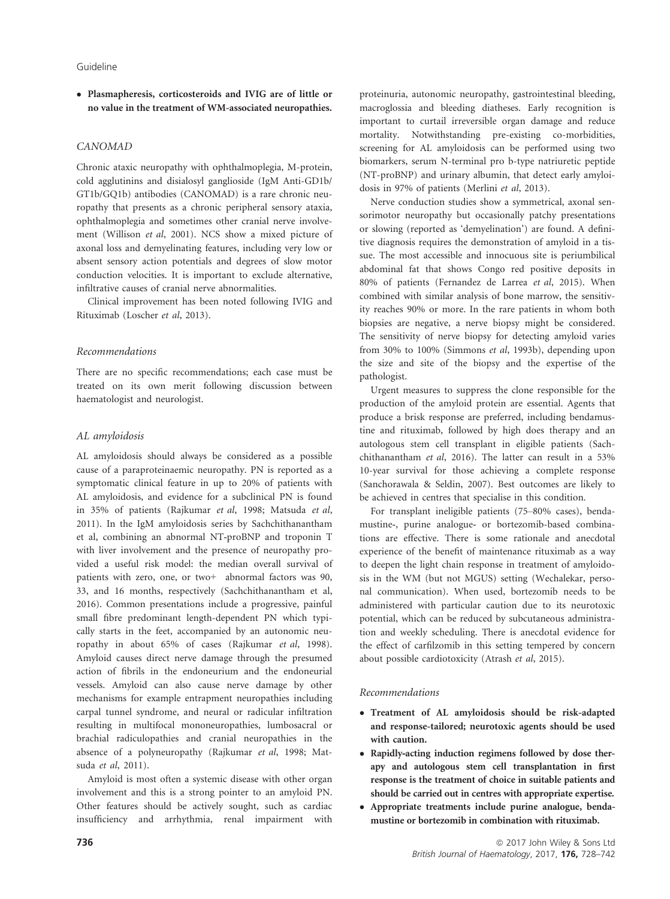Plasmapheresis, corticosteroids and IVIG are of little or no value in the treatment of WM-associated neuropathies.

#### CANOMAD

Chronic ataxic neuropathy with ophthalmoplegia, M-protein, cold agglutinins and disialosyl ganglioside (IgM Anti-GD1b/ GT1b/GQ1b) antibodies (CANOMAD) is a rare chronic neuropathy that presents as a chronic peripheral sensory ataxia, ophthalmoplegia and sometimes other cranial nerve involvement (Willison et al, 2001). NCS show a mixed picture of axonal loss and demyelinating features, including very low or absent sensory action potentials and degrees of slow motor conduction velocities. It is important to exclude alternative, infiltrative causes of cranial nerve abnormalities.

Clinical improvement has been noted following IVIG and Rituximab (Loscher et al, 2013).

#### Recommendations

There are no specific recommendations; each case must be treated on its own merit following discussion between haematologist and neurologist.

#### AL amyloidosis

AL amyloidosis should always be considered as a possible cause of a paraproteinaemic neuropathy. PN is reported as a symptomatic clinical feature in up to 20% of patients with AL amyloidosis, and evidence for a subclinical PN is found in 35% of patients (Rajkumar et al, 1998; Matsuda et al, 2011). In the IgM amyloidosis series by Sachchithanantham et al, combining an abnormal NT-proBNP and troponin T with liver involvement and the presence of neuropathy provided a useful risk model: the median overall survival of patients with zero, one, or two+ abnormal factors was 90, 33, and 16 months, respectively (Sachchithanantham et al, 2016). Common presentations include a progressive, painful small fibre predominant length-dependent PN which typically starts in the feet, accompanied by an autonomic neuropathy in about 65% of cases (Rajkumar et al, 1998). Amyloid causes direct nerve damage through the presumed action of fibrils in the endoneurium and the endoneurial vessels. Amyloid can also cause nerve damage by other mechanisms for example entrapment neuropathies including carpal tunnel syndrome, and neural or radicular infiltration resulting in multifocal mononeuropathies, lumbosacral or brachial radiculopathies and cranial neuropathies in the absence of a polyneuropathy (Rajkumar et al, 1998; Matsuda et al, 2011).

Amyloid is most often a systemic disease with other organ involvement and this is a strong pointer to an amyloid PN. Other features should be actively sought, such as cardiac insufficiency and arrhythmia, renal impairment with proteinuria, autonomic neuropathy, gastrointestinal bleeding, macroglossia and bleeding diatheses. Early recognition is important to curtail irreversible organ damage and reduce mortality. Notwithstanding pre-existing co-morbidities, screening for AL amyloidosis can be performed using two biomarkers, serum N-terminal pro b-type natriuretic peptide (NT-proBNP) and urinary albumin, that detect early amyloidosis in 97% of patients (Merlini et al, 2013).

Nerve conduction studies show a symmetrical, axonal sensorimotor neuropathy but occasionally patchy presentations or slowing (reported as 'demyelination') are found. A definitive diagnosis requires the demonstration of amyloid in a tissue. The most accessible and innocuous site is periumbilical abdominal fat that shows Congo red positive deposits in 80% of patients (Fernandez de Larrea et al, 2015). When combined with similar analysis of bone marrow, the sensitivity reaches 90% or more. In the rare patients in whom both biopsies are negative, a nerve biopsy might be considered. The sensitivity of nerve biopsy for detecting amyloid varies from 30% to 100% (Simmons et al, 1993b), depending upon the size and site of the biopsy and the expertise of the pathologist.

Urgent measures to suppress the clone responsible for the production of the amyloid protein are essential. Agents that produce a brisk response are preferred, including bendamustine and rituximab, followed by high does therapy and an autologous stem cell transplant in eligible patients (Sachchithanantham et al, 2016). The latter can result in a 53% 10-year survival for those achieving a complete response (Sanchorawala & Seldin, 2007). Best outcomes are likely to be achieved in centres that specialise in this condition.

For transplant ineligible patients (75–80% cases), bendamustine-, purine analogue- or bortezomib-based combinations are effective. There is some rationale and anecdotal experience of the benefit of maintenance rituximab as a way to deepen the light chain response in treatment of amyloidosis in the WM (but not MGUS) setting (Wechalekar, personal communication). When used, bortezomib needs to be administered with particular caution due to its neurotoxic potential, which can be reduced by subcutaneous administration and weekly scheduling. There is anecdotal evidence for the effect of carfilzomib in this setting tempered by concern about possible cardiotoxicity (Atrash et al, 2015).

#### Recommendations

- Treatment of AL amyloidosis should be risk-adapted and response-tailored; neurotoxic agents should be used with caution.
- Rapidly-acting induction regimens followed by dose therapy and autologous stem cell transplantation in first response is the treatment of choice in suitable patients and should be carried out in centres with appropriate expertise.
- Appropriate treatments include purine analogue, bendamustine or bortezomib in combination with rituximab.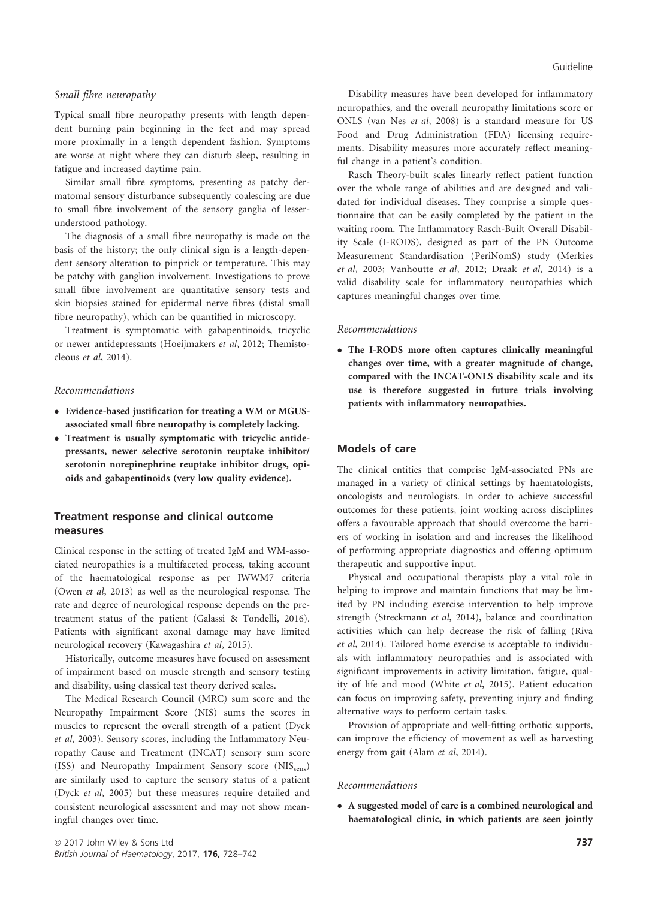## Small fibre neuropathy

Typical small fibre neuropathy presents with length dependent burning pain beginning in the feet and may spread more proximally in a length dependent fashion. Symptoms are worse at night where they can disturb sleep, resulting in fatigue and increased daytime pain.

Similar small fibre symptoms, presenting as patchy dermatomal sensory disturbance subsequently coalescing are due to small fibre involvement of the sensory ganglia of lesserunderstood pathology.

The diagnosis of a small fibre neuropathy is made on the basis of the history; the only clinical sign is a length-dependent sensory alteration to pinprick or temperature. This may be patchy with ganglion involvement. Investigations to prove small fibre involvement are quantitative sensory tests and skin biopsies stained for epidermal nerve fibres (distal small fibre neuropathy), which can be quantified in microscopy.

Treatment is symptomatic with gabapentinoids, tricyclic or newer antidepressants (Hoeijmakers et al, 2012; Themistocleous et al, 2014).

# Recommendations

- Evidence-based justification for treating a WM or MGUSassociated small fibre neuropathy is completely lacking.
- Treatment is usually symptomatic with tricyclic antidepressants, newer selective serotonin reuptake inhibitor/ serotonin norepinephrine reuptake inhibitor drugs, opioids and gabapentinoids (very low quality evidence).

# Treatment response and clinical outcome measures

Clinical response in the setting of treated IgM and WM-associated neuropathies is a multifaceted process, taking account of the haematological response as per IWWM7 criteria (Owen et al, 2013) as well as the neurological response. The rate and degree of neurological response depends on the pretreatment status of the patient (Galassi & Tondelli, 2016). Patients with significant axonal damage may have limited neurological recovery (Kawagashira et al, 2015).

Historically, outcome measures have focused on assessment of impairment based on muscle strength and sensory testing and disability, using classical test theory derived scales.

The Medical Research Council (MRC) sum score and the Neuropathy Impairment Score (NIS) sums the scores in muscles to represent the overall strength of a patient (Dyck et al, 2003). Sensory scores, including the Inflammatory Neuropathy Cause and Treatment (INCAT) sensory sum score (ISS) and Neuropathy Impairment Sensory score  $(NIS<sub>sens</sub>)$ are similarly used to capture the sensory status of a patient (Dyck et al, 2005) but these measures require detailed and consistent neurological assessment and may not show meaningful changes over time.

Disability measures have been developed for inflammatory neuropathies, and the overall neuropathy limitations score or ONLS (van Nes et al, 2008) is a standard measure for US Food and Drug Administration (FDA) licensing requirements. Disability measures more accurately reflect meaningful change in a patient's condition.

Rasch Theory-built scales linearly reflect patient function over the whole range of abilities and are designed and validated for individual diseases. They comprise a simple questionnaire that can be easily completed by the patient in the waiting room. The Inflammatory Rasch-Built Overall Disability Scale (I-RODS), designed as part of the PN Outcome Measurement Standardisation (PeriNomS) study (Merkies et al, 2003; Vanhoutte et al, 2012; Draak et al, 2014) is a valid disability scale for inflammatory neuropathies which captures meaningful changes over time.

#### Recommendations

 The I-RODS more often captures clinically meaningful changes over time, with a greater magnitude of change, compared with the INCAT-ONLS disability scale and its use is therefore suggested in future trials involving patients with inflammatory neuropathies.

# Models of care

The clinical entities that comprise IgM-associated PNs are managed in a variety of clinical settings by haematologists, oncologists and neurologists. In order to achieve successful outcomes for these patients, joint working across disciplines offers a favourable approach that should overcome the barriers of working in isolation and and increases the likelihood of performing appropriate diagnostics and offering optimum therapeutic and supportive input.

Physical and occupational therapists play a vital role in helping to improve and maintain functions that may be limited by PN including exercise intervention to help improve strength (Streckmann et al, 2014), balance and coordination activities which can help decrease the risk of falling (Riva et al, 2014). Tailored home exercise is acceptable to individuals with inflammatory neuropathies and is associated with significant improvements in activity limitation, fatigue, quality of life and mood (White et al, 2015). Patient education can focus on improving safety, preventing injury and finding alternative ways to perform certain tasks.

Provision of appropriate and well-fitting orthotic supports, can improve the efficiency of movement as well as harvesting energy from gait (Alam et al, 2014).

#### Recommendations

 A suggested model of care is a combined neurological and haematological clinic, in which patients are seen jointly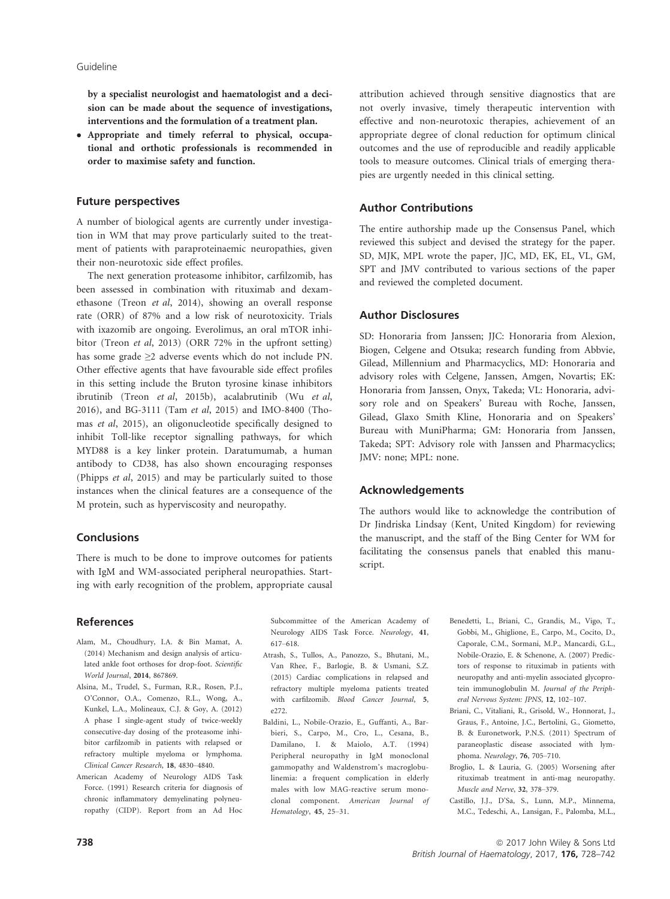by a specialist neurologist and haematologist and a decision can be made about the sequence of investigations, interventions and the formulation of a treatment plan.

 Appropriate and timely referral to physical, occupational and orthotic professionals is recommended in order to maximise safety and function.

## Future perspectives

A number of biological agents are currently under investigation in WM that may prove particularly suited to the treatment of patients with paraproteinaemic neuropathies, given their non-neurotoxic side effect profiles.

The next generation proteasome inhibitor, carfilzomib, has been assessed in combination with rituximab and dexamethasone (Treon et al, 2014), showing an overall response rate (ORR) of 87% and a low risk of neurotoxicity. Trials with ixazomib are ongoing. Everolimus, an oral mTOR inhibitor (Treon et al, 2013) (ORR 72% in the upfront setting) has some grade ≥2 adverse events which do not include PN. Other effective agents that have favourable side effect profiles in this setting include the Bruton tyrosine kinase inhibitors ibrutinib (Treon et al, 2015b), acalabrutinib (Wu et al, 2016), and BG-3111 (Tam et al, 2015) and IMO-8400 (Thomas et al, 2015), an oligonucleotide specifically designed to inhibit Toll-like receptor signalling pathways, for which MYD88 is a key linker protein. Daratumumab, a human antibody to CD38, has also shown encouraging responses (Phipps et al, 2015) and may be particularly suited to those instances when the clinical features are a consequence of the M protein, such as hyperviscosity and neuropathy.

## Conclusions

There is much to be done to improve outcomes for patients with IgM and WM-associated peripheral neuropathies. Starting with early recognition of the problem, appropriate causal

#### References

- Alam, M., Choudhury, I.A. & Bin Mamat, A. (2014) Mechanism and design analysis of articulated ankle foot orthoses for drop-foot. Scientific World Journal, 2014, 867869.
- Alsina, M., Trudel, S., Furman, R.R., Rosen, P.J., O'Connor, O.A., Comenzo, R.L., Wong, A., Kunkel, L.A., Molineaux, C.J. & Goy, A. (2012) A phase I single-agent study of twice-weekly consecutive-day dosing of the proteasome inhibitor carfilzomib in patients with relapsed or refractory multiple myeloma or lymphoma. Clinical Cancer Research, 18, 4830–4840.
- American Academy of Neurology AIDS Task Force. (1991) Research criteria for diagnosis of chronic inflammatory demyelinating polyneuropathy (CIDP). Report from an Ad Hoc

attribution achieved through sensitive diagnostics that are not overly invasive, timely therapeutic intervention with effective and non-neurotoxic therapies, achievement of an appropriate degree of clonal reduction for optimum clinical outcomes and the use of reproducible and readily applicable tools to measure outcomes. Clinical trials of emerging therapies are urgently needed in this clinical setting.

# Author Contributions

The entire authorship made up the Consensus Panel, which reviewed this subject and devised the strategy for the paper. SD, MJK, MPL wrote the paper, JJC, MD, EK, EL, VL, GM, SPT and JMV contributed to various sections of the paper and reviewed the completed document.

## Author Disclosures

SD: Honoraria from Janssen; JJC: Honoraria from Alexion, Biogen, Celgene and Otsuka; research funding from Abbvie, Gilead, Millennium and Pharmacyclics, MD: Honoraria and advisory roles with Celgene, Janssen, Amgen, Novartis; EK: Honoraria from Janssen, Onyx, Takeda; VL: Honoraria, advisory role and on Speakers' Bureau with Roche, Janssen, Gilead, Glaxo Smith Kline, Honoraria and on Speakers' Bureau with MuniPharma; GM: Honoraria from Janssen, Takeda; SPT: Advisory role with Janssen and Pharmacyclics; JMV: none; MPL: none.

#### Acknowledgements

The authors would like to acknowledge the contribution of Dr Jindriska Lindsay (Kent, United Kingdom) for reviewing the manuscript, and the staff of the Bing Center for WM for facilitating the consensus panels that enabled this manuscript.

Subcommittee of the American Academy of Neurology AIDS Task Force. Neurology, 41, 617–618.

- Atrash, S., Tullos, A., Panozzo, S., Bhutani, M., Van Rhee, F., Barlogie, B. & Usmani, S.Z. (2015) Cardiac complications in relapsed and refractory multiple myeloma patients treated with carfilzomib. Blood Cancer Journal, 5, e272.
- Baldini, L., Nobile-Orazio, E., Guffanti, A., Barbieri, S., Carpo, M., Cro, L., Cesana, B., Damilano, I. & Maiolo, A.T. (1994) Peripheral neuropathy in IgM monoclonal gammopathy and Waldenstrom's macroglobulinemia: a frequent complication in elderly males with low MAG-reactive serum monoclonal component. American Journal of Hematology, 45, 25–31.
- Benedetti, L., Briani, C., Grandis, M., Vigo, T., Gobbi, M., Ghiglione, E., Carpo, M., Cocito, D., Caporale, C.M., Sormani, M.P., Mancardi, G.L., Nobile-Orazio, E. & Schenone, A. (2007) Predictors of response to rituximab in patients with neuropathy and anti-myelin associated glycoprotein immunoglobulin M. Journal of the Peripheral Nervous System: JPNS, 12, 102–107.
- Briani, C., Vitaliani, R., Grisold, W., Honnorat, J., Graus, F., Antoine, J.C., Bertolini, G., Giometto, B. & Euronetwork, P.N.S. (2011) Spectrum of paraneoplastic disease associated with lymphoma. Neurology, 76, 705–710.
- Broglio, L. & Lauria, G. (2005) Worsening after rituximab treatment in anti-mag neuropathy. Muscle and Nerve, 32, 378–379.
- Castillo, J.J., D'Sa, S., Lunn, M.P., Minnema, M.C., Tedeschi, A., Lansigan, F., Palomba, M.L.,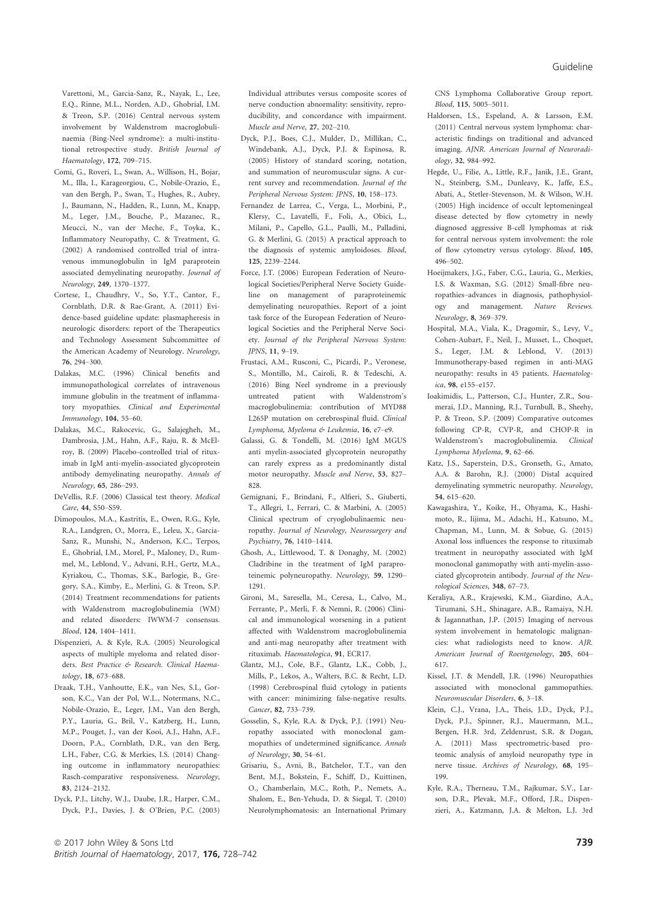Varettoni, M., Garcia-Sanz, R., Nayak, L., Lee, E.Q., Rinne, M.L., Norden, A.D., Ghobrial, I.M. & Treon, S.P. (2016) Central nervous system involvement by Waldenstrom macroglobulinaemia (Bing-Neel syndrome): a multi-institutional retrospective study. British Journal of Haematology, 172, 709–715.

- Comi, G., Roveri, L., Swan, A., Willison, H., Bojar, M., Illa, I., Karageorgiou, C., Nobile-Orazio, E., van den Bergh, P., Swan, T., Hughes, R., Aubry, J., Baumann, N., Hadden, R., Lunn, M., Knapp, M., Leger, J.M., Bouche, P., Mazanec, R., Meucci, N., van der Meche, F., Toyka, K., Inflammatory Neuropathy, C. & Treatment, G. (2002) A randomised controlled trial of intravenous immunoglobulin in IgM paraprotein associated demyelinating neuropathy. Journal of Neurology, 249, 1370–1377.
- Cortese, I., Chaudhry, V., So, Y.T., Cantor, F., Cornblath, D.R. & Rae-Grant, A. (2011) Evidence-based guideline update: plasmapheresis in neurologic disorders: report of the Therapeutics and Technology Assessment Subcommittee of the American Academy of Neurology. Neurology, 76, 294–300.
- Dalakas, M.C. (1996) Clinical benefits and immunopathological correlates of intravenous immune globulin in the treatment of inflammatory myopathies. Clinical and Experimental Immunology, 104, 55–60.
- Dalakas, M.C., Rakocevic, G., Salajegheh, M., Dambrosia, J.M., Hahn, A.F., Raju, R. & McElroy, B. (2009) Placebo-controlled trial of rituximab in IgM anti-myelin-associated glycoprotein antibody demyelinating neuropathy. Annals of Neurology, 65, 286–293.
- DeVellis, R.F. (2006) Classical test theory. Medical Care, 44, S50–S59.
- Dimopoulos, M.A., Kastritis, E., Owen, R.G., Kyle, R.A., Landgren, O., Morra, E., Leleu, X., Garcia-Sanz, R., Munshi, N., Anderson, K.C., Terpos, E., Ghobrial, I.M., Morel, P., Maloney, D., Rummel, M., Leblond, V., Advani, R.H., Gertz, M.A., Kyriakou, C., Thomas, S.K., Barlogie, B., Gregory, S.A., Kimby, E., Merlini, G. & Treon, S.P. (2014) Treatment recommendations for patients with Waldenstrom macroglobulinemia (WM) and related disorders: IWWM-7 consensus. Blood, 124, 1404–1411.
- Dispenzieri, A. & Kyle, R.A. (2005) Neurological aspects of multiple myeloma and related disorders. Best Practice & Research. Clinical Haematology, 18, 673–688.
- Draak, T.H., Vanhoutte, E.K., van Nes, S.I., Gorson, K.C., Van der Pol, W.L., Notermans, N.C., Nobile-Orazio, E., Leger, J.M., Van den Bergh, P.Y., Lauria, G., Bril, V., Katzberg, H., Lunn, M.P., Pouget, J., van der Kooi, A.J., Hahn, A.F., Doorn, P.A., Cornblath, D.R., van den Berg, L.H., Faber, C.G. & Merkies, I.S. (2014) Changing outcome in inflammatory neuropathies: Rasch-comparative responsiveness. Neurology, 83, 2124–2132.
- Dyck, P.J., Litchy, W.J., Daube, J.R., Harper, C.M., Dyck, P.J., Davies, J. & O'Brien, P.C. (2003)

Individual attributes versus composite scores of nerve conduction abnormality: sensitivity, reproducibility, and concordance with impairment. Muscle and Nerve, 27, 202–210.

- Dyck, P.J., Boes, C.J., Mulder, D., Millikan, C., Windebank, A.J., Dyck, P.J. & Espinosa, R. (2005) History of standard scoring, notation, and summation of neuromuscular signs. A current survey and recommendation. Journal of the Peripheral Nervous System: JPNS, 10, 158–173.
- Fernandez de Larrea, C., Verga, L., Morbini, P., Klersy, C., Lavatelli, F., Foli, A., Obici, L., Milani, P., Capello, G.L., Paulli, M., Palladini, G. & Merlini, G. (2015) A practical approach to the diagnosis of systemic amyloidoses. Blood, 125, 2239–2244.
- Force, J.T. (2006) European Federation of Neurological Societies/Peripheral Nerve Society Guideline on management of paraproteinemic demyelinating neuropathies. Report of a joint task force of the European Federation of Neurological Societies and the Peripheral Nerve Society. Journal of the Peripheral Nervous System: JPNS, 11, 9–19.
- Frustaci, A.M., Rusconi, C., Picardi, P., Veronese, S., Montillo, M., Cairoli, R. & Tedeschi, A. (2016) Bing Neel syndrome in a previously untreated patient with Waldenstrom's macroglobulinemia: contribution of MYD88 L265P mutation on cerebrospinal fluid. Clinical Lymphoma, Myeloma & Leukemia, 16, e7–e9.
- Galassi, G. & Tondelli, M. (2016) IgM MGUS anti myelin-associated glycoprotein neuropathy can rarely express as a predominantly distal motor neuropathy. Muscle and Nerve, 53, 827– 828.
- Gemignani, F., Brindani, F., Alfieri, S., Giuberti, T., Allegri, I., Ferrari, C. & Marbini, A. (2005) Clinical spectrum of cryoglobulinaemic neuropathy. Journal of Neurology, Neurosurgery and Psychiatry, 76, 1410–1414.
- Ghosh, A., Littlewood, T. & Donaghy, M. (2002) Cladribine in the treatment of IgM paraproteinemic polyneuropathy. Neurology, 59, 1290– 1291.
- Gironi, M., Saresella, M., Ceresa, L., Calvo, M., Ferrante, P., Merli, F. & Nemni, R. (2006) Clinical and immunological worsening in a patient affected with Waldenstrom macroglobulinemia and anti-mag neuropathy after treatment with rituximab. Haematologica, 91, ECR17.
- Glantz, M.J., Cole, B.F., Glantz, L.K., Cobb, J., Mills, P., Lekos, A., Walters, B.C. & Recht, L.D. (1998) Cerebrospinal fluid cytology in patients with cancer: minimizing false-negative results. Cancer, 82, 733–739.
- Gosselin, S., Kyle, R.A. & Dyck, P.J. (1991) Neuropathy associated with monoclonal gammopathies of undetermined significance. Annals of Neurology, 30, 54–61.
- Grisariu, S., Avni, B., Batchelor, T.T., van den Bent, M.J., Bokstein, F., Schiff, D., Kuittinen, O., Chamberlain, M.C., Roth, P., Nemets, A., Shalom, E., Ben-Yehuda, D. & Siegal, T. (2010) Neurolymphomatosis: an International Primary

CNS Lymphoma Collaborative Group report. Blood, 115, 5005–5011.

- Haldorsen, I.S., Espeland, A. & Larsson, E.M. (2011) Central nervous system lymphoma: characteristic findings on traditional and advanced imaging. AJNR. American Journal of Neuroradiology, 32, 984–992.
- Hegde, U., Filie, A., Little, R.F., Janik, J.E., Grant, N., Steinberg, S.M., Dunleavy, K., Jaffe, E.S., Abati, A., Stetler-Stevenson, M. & Wilson, W.H. (2005) High incidence of occult leptomeningeal disease detected by flow cytometry in newly diagnosed aggressive B-cell lymphomas at risk for central nervous system involvement: the role of flow cytometry versus cytology. Blood, 105, 496–502.
- Hoeijmakers, J.G., Faber, C.G., Lauria, G., Merkies, I.S. & Waxman, S.G. (2012) Small-fibre neuropathies–advances in diagnosis, pathophysiology and management. Nature Reviews. Neurology, 8, 369–379.
- Hospital, M.A., Viala, K., Dragomir, S., Levy, V., Cohen-Aubart, F., Neil, J., Musset, L., Choquet, S., Leger, J.M. & Leblond, V. (2013) Immunotherapy-based regimen in anti-MAG neuropathy: results in 45 patients. Haematologica, 98, e155–e157.
- Ioakimidis, L., Patterson, C.J., Hunter, Z.R., Soumerai, J.D., Manning, R.J., Turnbull, B., Sheehy, P. & Treon, S.P. (2009) Comparative outcomes following CP-R, CVP-R, and CHOP-R in Waldenstrom's macroglobulinemia. Clinical Lymphoma Myeloma, 9, 62–66.
- Katz, J.S., Saperstein, D.S., Gronseth, G., Amato, A.A. & Barohn, R.J. (2000) Distal acquired demyelinating symmetric neuropathy. Neurology, 54, 615–620.
- Kawagashira, Y., Koike, H., Ohyama, K., Hashimoto, R., Iijima, M., Adachi, H., Katsuno, M., Chapman, M., Lunn, M. & Sobue, G. (2015) Axonal loss influences the response to rituximab treatment in neuropathy associated with IgM monoclonal gammopathy with anti-myelin-associated glycoprotein antibody. Journal of the Neurological Sciences, 348, 67–73.
- Keraliya, A.R., Krajewski, K.M., Giardino, A.A., Tirumani, S.H., Shinagare, A.B., Ramaiya, N.H. & Jagannathan, J.P. (2015) Imaging of nervous system involvement in hematologic malignancies: what radiologists need to know. AJR. American Journal of Roentgenology, 205, 604– 617.
- Kissel, J.T. & Mendell, J.R. (1996) Neuropathies associated with monoclonal gammopathies. Neuromuscular Disorders, 6, 3–18.
- Klein, C.J., Vrana, J.A., Theis, J.D., Dyck, P.J., Dyck, P.J., Spinner, R.J., Mauermann, M.L., Bergen, H.R. 3rd, Zeldenrust, S.R. & Dogan, A. (2011) Mass spectrometric-based proteomic analysis of amyloid neuropathy type in nerve tissue. Archives of Neurology, 68, 195– 199.
- Kyle, R.A., Therneau, T.M., Rajkumar, S.V., Larson, D.R., Plevak, M.F., Offord, J.R., Dispenzieri, A., Katzmann, J.A. & Melton, L.J. 3rd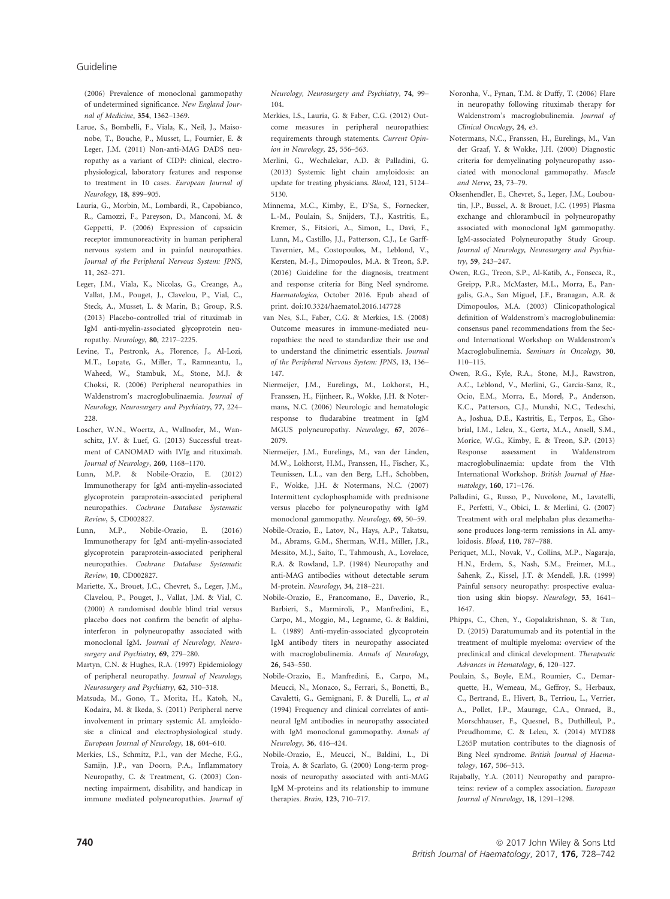(2006) Prevalence of monoclonal gammopathy of undetermined significance. New England Journal of Medicine, 354, 1362–1369.

- Larue, S., Bombelli, F., Viala, K., Neil, J., Maisonobe, T., Bouche, P., Musset, L., Fournier, E. & Leger, J.M. (2011) Non-anti-MAG DADS neuropathy as a variant of CIDP: clinical, electrophysiological, laboratory features and response to treatment in 10 cases. European Journal of Neurology, 18, 899–905.
- Lauria, G., Morbin, M., Lombardi, R., Capobianco, R., Camozzi, F., Pareyson, D., Manconi, M. & Geppetti, P. (2006) Expression of capsaicin receptor immunoreactivity in human peripheral nervous system and in painful neuropathies. Journal of the Peripheral Nervous System: JPNS, 11, 262–271.
- Leger, J.M., Viala, K., Nicolas, G., Creange, A., Vallat, J.M., Pouget, J., Clavelou, P., Vial, C., Steck, A., Musset, L. & Marin, B.; Group, R.S. (2013) Placebo-controlled trial of rituximab in IgM anti-myelin-associated glycoprotein neuropathy. Neurology, 80, 2217–2225.
- Levine, T., Pestronk, A., Florence, J., Al-Lozi, M.T., Lopate, G., Miller, T., Ramneantu, I., Waheed, W., Stambuk, M., Stone, M.J. & Choksi, R. (2006) Peripheral neuropathies in Waldenstrom's macroglobulinaemia. Journal of Neurology, Neurosurgery and Psychiatry, 77, 224– 228.
- Loscher, W.N., Woertz, A., Wallnofer, M., Wanschitz, J.V. & Luef, G. (2013) Successful treatment of CANOMAD with IVIg and rituximab. Journal of Neurology, 260, 1168–1170.
- Lunn, M.P. & Nobile-Orazio, E. (2012) Immunotherapy for IgM anti-myelin-associated glycoprotein paraprotein-associated peripheral neuropathies. Cochrane Database Systematic Review, 5, CD002827.
- Lunn, M.P., Nobile-Orazio, E. (2016) Immunotherapy for IgM anti-myelin-associated glycoprotein paraprotein-associated peripheral neuropathies. Cochrane Database Systematic Review, 10, CD002827.
- Mariette, X., Brouet, J.C., Chevret, S., Leger, J.M., Clavelou, P., Pouget, J., Vallat, J.M. & Vial, C. (2000) A randomised double blind trial versus placebo does not confirm the benefit of alphainterferon in polyneuropathy associated with monoclonal IgM. Journal of Neurology, Neurosurgery and Psychiatry, 69, 279-280.
- Martyn, C.N. & Hughes, R.A. (1997) Epidemiology of peripheral neuropathy. Journal of Neurology, Neurosurgery and Psychiatry, 62, 310–318.
- Matsuda, M., Gono, T., Morita, H., Katoh, N., Kodaira, M. & Ikeda, S. (2011) Peripheral nerve involvement in primary systemic AL amyloidosis: a clinical and electrophysiological study. European Journal of Neurology, 18, 604–610.
- Merkies, I.S., Schmitz, P.I., van der Meche, F.G., Samijn, J.P., van Doorn, P.A., Inflammatory Neuropathy, C. & Treatment, G. (2003) Connecting impairment, disability, and handicap in immune mediated polyneuropathies. Journal of

Neurology, Neurosurgery and Psychiatry, 74, 99– 104.

- Merkies, I.S., Lauria, G. & Faber, C.G. (2012) Outcome measures in peripheral neuropathies: requirements through statements. Current Opinion in Neurology, 25, 556–563.
- Merlini, G., Wechalekar, A.D. & Palladini, G. (2013) Systemic light chain amyloidosis: an update for treating physicians. Blood, 121, 5124– 5130.
- Minnema, M.C., Kimby, E., D'Sa, S., Fornecker, L.-M., Poulain, S., Snijders, T.J., Kastritis, E., Kremer, S., Fitsiori, A., Simon, L., Davi, F., Lunn, M., Castillo, J.J., Patterson, C.J., Le Garff-Tavernier, M., Costopoulos, M., Leblond, V., Kersten, M.-J., Dimopoulos, M.A. & Treon, S.P. (2016) Guideline for the diagnosis, treatment and response criteria for Bing Neel syndrome. Haematologica, October 2016. Epub ahead of print. doi:[10.3324/haematol.2016.147728](https://doi.org/10.3324/haematol.2016.147728)
- van Nes, S.I., Faber, C.G. & Merkies, I.S. (2008) Outcome measures in immune-mediated neuropathies: the need to standardize their use and to understand the clinimetric essentials. Journal of the Peripheral Nervous System: JPNS, 13, 136– 147.
- Niermeijer, J.M., Eurelings, M., Lokhorst, H., Franssen, H., Fijnheer, R., Wokke, J.H. & Notermans, N.C. (2006) Neurologic and hematologic response to fludarabine treatment in IgM MGUS polyneuropathy. Neurology, 67, 2076– 2079.
- Niermeijer, J.M., Eurelings, M., van der Linden, M.W., Lokhorst, H.M., Franssen, H., Fischer, K., Teunissen, L.L., van den Berg, L.H., Schobben, F., Wokke, J.H. & Notermans, N.C. (2007) Intermittent cyclophosphamide with prednisone versus placebo for polyneuropathy with IgM monoclonal gammopathy. Neurology, 69, 50–59.
- Nobile-Orazio, E., Latov, N., Hays, A.P., Takatsu, M., Abrams, G.M., Sherman, W.H., Miller, J.R., Messito, M.J., Saito, T., Tahmoush, A., Lovelace, R.A. & Rowland, L.P. (1984) Neuropathy and anti-MAG antibodies without detectable serum M-protein. Neurology, 34, 218–221.
- Nobile-Orazio, E., Francomano, E., Daverio, R., Barbieri, S., Marmiroli, P., Manfredini, E., Carpo, M., Moggio, M., Legname, G. & Baldini, L. (1989) Anti-myelin-associated glycoprotein IgM antibody titers in neuropathy associated with macroglobulinemia. Annals of Neurology, 26, 543–550.
- Nobile-Orazio, E., Manfredini, E., Carpo, M., Meucci, N., Monaco, S., Ferrari, S., Bonetti, B., Cavaletti, G., Gemignani, F. & Durelli, L., et al (1994) Frequency and clinical correlates of antineural IgM antibodies in neuropathy associated with IgM monoclonal gammopathy. Annals of Neurology, 36, 416–424.
- Nobile-Orazio, E., Meucci, N., Baldini, L., Di Troia, A. & Scarlato, G. (2000) Long-term prognosis of neuropathy associated with anti-MAG IgM M-proteins and its relationship to immune therapies. Brain, 123, 710–717.
- Noronha, V., Fynan, T.M. & Duffy, T. (2006) Flare in neuropathy following rituximab therapy for Waldenstrom's macroglobulinemia. Journal of Clinical Oncology, 24, e3.
- Notermans, N.C., Franssen, H., Eurelings, M., Van der Graaf, Y. & Wokke, J.H. (2000) Diagnostic criteria for demyelinating polyneuropathy associated with monoclonal gammopathy. Muscle and Nerve, 23, 73–79.
- Oksenhendler, E., Chevret, S., Leger, J.M., Louboutin, J.P., Bussel, A. & Brouet, J.C. (1995) Plasma exchange and chlorambucil in polyneuropathy associated with monoclonal IgM gammopathy. IgM-associated Polyneuropathy Study Group. Journal of Neurology, Neurosurgery and Psychiatry, 59, 243–247.
- Owen, R.G., Treon, S.P., Al-Katib, A., Fonseca, R., Greipp, P.R., McMaster, M.L., Morra, E., Pangalis, G.A., San Miguel, J.F., Branagan, A.R. & Dimopoulos, M.A. (2003) Clinicopathological definition of Waldenstrom's macroglobulinemia: consensus panel recommendations from the Second International Workshop on Waldenstrom's Macroglobulinemia. Seminars in Oncology, 30, 110–115.
- Owen, R.G., Kyle, R.A., Stone, M.J., Rawstron, A.C., Leblond, V., Merlini, G., Garcia-Sanz, R., Ocio, E.M., Morra, E., Morel, P., Anderson, K.C., Patterson, C.J., Munshi, N.C., Tedeschi, A., Joshua, D.E., Kastritis, E., Terpos, E., Ghobrial, I.M., Leleu, X., Gertz, M.A., Ansell, S.M., Morice, W.G., Kimby, E. & Treon, S.P. (2013) Response assessment in Waldenstrom macroglobulinaemia: update from the VIth International Workshop. British Journal of Haematology, 160, 171–176.
- Palladini, G., Russo, P., Nuvolone, M., Lavatelli, F., Perfetti, V., Obici, L. & Merlini, G. (2007) Treatment with oral melphalan plus dexamethasone produces long-term remissions in AL amyloidosis. Blood, 110, 787–788.
- Periquet, M.I., Novak, V., Collins, M.P., Nagaraja, H.N., Erdem, S., Nash, S.M., Freimer, M.L., Sahenk, Z., Kissel, J.T. & Mendell, J.R. (1999) Painful sensory neuropathy: prospective evaluation using skin biopsy. Neurology, 53, 1641– 1647.
- Phipps, C., Chen, Y., Gopalakrishnan, S. & Tan, D. (2015) Daratumumab and its potential in the treatment of multiple myeloma: overview of the preclinical and clinical development. Therapeutic Advances in Hematology, 6, 120–127.
- Poulain, S., Boyle, E.M., Roumier, C., Demarquette, H., Wemeau, M., Geffroy, S., Herbaux, C., Bertrand, E., Hivert, B., Terriou, L., Verrier, A., Pollet, J.P., Maurage, C.A., Onraed, B., Morschhauser, F., Quesnel, B., Duthilleul, P., Preudhomme, C. & Leleu, X. (2014) MYD88 L265P mutation contributes to the diagnosis of Bing Neel syndrome. British Journal of Haematology, 167, 506–513.
- Rajabally, Y.A. (2011) Neuropathy and paraproteins: review of a complex association. European Journal of Neurology, 18, 1291–1298.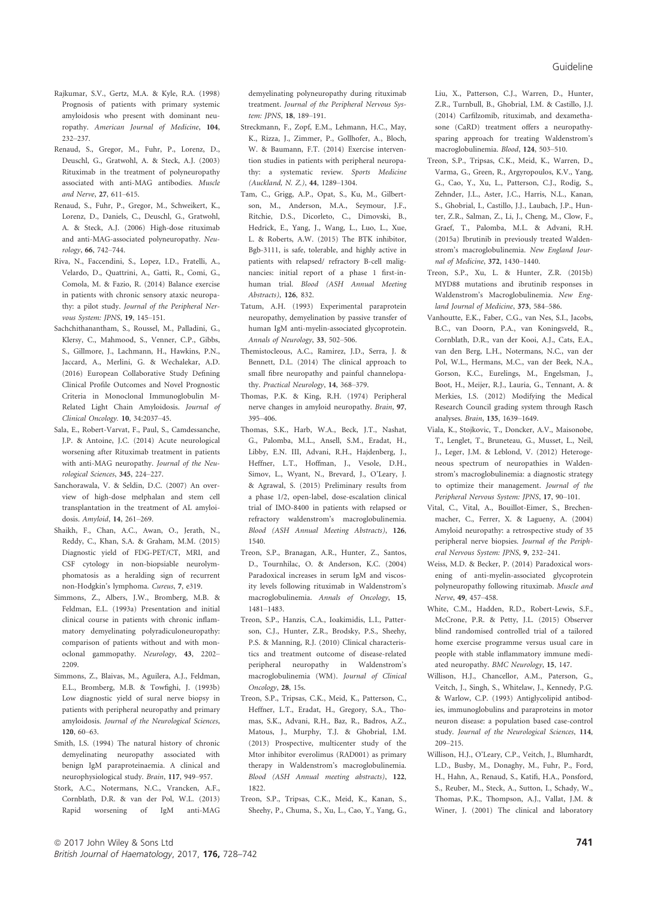- Rajkumar, S.V., Gertz, M.A. & Kyle, R.A. (1998) Prognosis of patients with primary systemic amyloidosis who present with dominant neuropathy. American Journal of Medicine, 104, 232–237.
- Renaud, S., Gregor, M., Fuhr, P., Lorenz, D., Deuschl, G., Gratwohl, A. & Steck, A.J. (2003) Rituximab in the treatment of polyneuropathy associated with anti-MAG antibodies. Muscle and Nerve, 27, 611–615.
- Renaud, S., Fuhr, P., Gregor, M., Schweikert, K., Lorenz, D., Daniels, C., Deuschl, G., Gratwohl, A. & Steck, A.J. (2006) High-dose rituximab and anti-MAG-associated polyneuropathy. Neurology, 66, 742–744.
- Riva, N., Faccendini, S., Lopez, I.D., Fratelli, A., Velardo, D., Quattrini, A., Gatti, R., Comi, G., Comola, M. & Fazio, R. (2014) Balance exercise in patients with chronic sensory ataxic neuropathy: a pilot study. Journal of the Peripheral Nervous System: JPNS, 19, 145–151.
- Sachchithanantham, S., Roussel, M., Palladini, G., Klersy, C., Mahmood, S., Venner, C.P., Gibbs, S., Gillmore, J., Lachmann, H., Hawkins, P.N., Jaccard, A., Merlini, G. & Wechalekar, A.D. (2016) European Collaborative Study Defining Clinical Profile Outcomes and Novel Prognostic Criteria in Monoclonal Immunoglobulin M-Related Light Chain Amyloidosis. Journal of Clinical Oncology. 10, 34:2037–45.
- Sala, E., Robert-Varvat, F., Paul, S., Camdessanche, J.P. & Antoine, J.C. (2014) Acute neurological worsening after Rituximab treatment in patients with anti-MAG neuropathy. Journal of the Neurological Sciences, 345, 224–227.
- Sanchorawala, V. & Seldin, D.C. (2007) An overview of high-dose melphalan and stem cell transplantation in the treatment of AL amyloidosis. Amyloid, 14, 261–269.
- Shaikh, F., Chan, A.C., Awan, O., Jerath, N., Reddy, C., Khan, S.A. & Graham, M.M. (2015) Diagnostic yield of FDG-PET/CT, MRI, and CSF cytology in non-biopsiable neurolymphomatosis as a heralding sign of recurrent non-Hodgkin's lymphoma. Cureus, 7, e319.
- Simmons, Z., Albers, J.W., Bromberg, M.B. & Feldman, E.L. (1993a) Presentation and initial clinical course in patients with chronic inflammatory demyelinating polyradiculoneuropathy: comparison of patients without and with monoclonal gammopathy. Neurology, 43, 2202– 2209
- Simmons, Z., Blaivas, M., Aguilera, A.J., Feldman, E.L., Bromberg, M.B. & Towfighi, J. (1993b) Low diagnostic yield of sural nerve biopsy in patients with peripheral neuropathy and primary amyloidosis. Journal of the Neurological Sciences, 120, 60–63.
- Smith, I.S. (1994) The natural history of chronic demyelinating neuropathy associated with benign IgM paraproteinaemia. A clinical and neurophysiological study. Brain, 117, 949–957.
- Stork, A.C., Notermans, N.C., Vrancken, A.F., Cornblath, D.R. & van der Pol, W.L. (2013) Rapid worsening of IgM anti-MAG

demyelinating polyneuropathy during rituximab treatment. Journal of the Peripheral Nervous System: JPNS, 18, 189–191.

- Streckmann, F., Zopf, E.M., Lehmann, H.C., May, K., Rizza, J., Zimmer, P., Gollhofer, A., Bloch, W. & Baumann, F.T. (2014) Exercise intervention studies in patients with peripheral neuropathy: a systematic review. Sports Medicine (Auckland, N. Z.), 44, 1289–1304.
- Tam, C., Grigg, A.P., Opat, S., Ku, M., Gilbertson, M., Anderson, M.A., Seymour, J.F., Ritchie, D.S., Dicorleto, C., Dimovski, B., Hedrick, E., Yang, J., Wang, L., Luo, L., Xue, L. & Roberts, A.W. (2015) The BTK inhibitor, Bgb-3111, is safe, tolerable, and highly active in patients with relapsed/ refractory B-cell malignancies: initial report of a phase 1 first-inhuman trial. Blood (ASH Annual Meeting Abstracts), 126, 832.
- Tatum, A.H. (1993) Experimental paraprotein neuropathy, demyelination by passive transfer of human IgM anti-myelin-associated glycoprotein. Annals of Neurology, 33, 502–506.
- Themistocleous, A.C., Ramirez, J.D., Serra, J. & Bennett, D.L. (2014) The clinical approach to small fibre neuropathy and painful channelopathy. Practical Neurology, 14, 368–379.
- Thomas, P.K. & King, R.H. (1974) Peripheral nerve changes in amyloid neuropathy. Brain, 97, 395–406.
- Thomas, S.K., Harb, W.A., Beck, J.T., Nashat, G., Palomba, M.L., Ansell, S.M., Eradat, H., Libby, E.N. III, Advani, R.H., Hajdenberg, J., Heffner, L.T., Hoffman, J., Vesole, D.H., Simov, L., Wyant, N., Brevard, J., O'Leary, J. & Agrawal, S. (2015) Preliminary results from a phase 1/2, open-label, dose-escalation clinical trial of IMO-8400 in patients with relapsed or refractory waldenstrom's macroglobulinemia. Blood (ASH Annual Meeting Abstracts), 126, 1540.
- Treon, S.P., Branagan, A.R., Hunter, Z., Santos, D., Tournhilac, O. & Anderson, K.C. (2004) Paradoxical increases in serum IgM and viscosity levels following rituximab in Waldenstrom's macroglobulinemia. Annals of Oncology, 15, 1481–1483.
- Treon, S.P., Hanzis, C.A., Ioakimidis, L.I., Patterson, C.J., Hunter, Z.R., Brodsky, P.S., Sheehy, P.S. & Manning, R.J. (2010) Clinical characteristics and treatment outcome of disease-related peripheral neuropathy in Waldenstrom's macroglobulinemia (WM). Journal of Clinical Oncology, 28, 15s.
- Treon, S.P., Tripsas, C.K., Meid, K., Patterson, C., Heffner, L.T., Eradat, H., Gregory, S.A., Thomas, S.K., Advani, R.H., Baz, R., Badros, A.Z., Matous, J., Murphy, T.J. & Ghobrial, I.M. (2013) Prospective, multicenter study of the Mtor inhibitor everolimus (RAD001) as primary therapy in Waldenstrom's macroglobulinemia. Blood (ASH Annual meeting abstracts), 122, 1822.
- Treon, S.P., Tripsas, C.K., Meid, K., Kanan, S., Sheehy, P., Chuma, S., Xu, L., Cao, Y., Yang, G.,

Liu, X., Patterson, C.J., Warren, D., Hunter, Z.R., Turnbull, B., Ghobrial, I.M. & Castillo, J.J. (2014) Carfilzomib, rituximab, and dexamethasone (CaRD) treatment offers a neuropathysparing approach for treating Waldenstrom's macroglobulinemia. Blood, 124, 503–510.

- Treon, S.P., Tripsas, C.K., Meid, K., Warren, D., Varma, G., Green, R., Argyropoulos, K.V., Yang, G., Cao, Y., Xu, L., Patterson, C.J., Rodig, S., Zehnder, J.L., Aster, J.C., Harris, N.L., Kanan, S., Ghobrial, I., Castillo, J.J., Laubach, J.P., Hunter, Z.R., Salman, Z., Li, J., Cheng, M., Clow, F., Graef, T., Palomba, M.L. & Advani, R.H. (2015a) Ibrutinib in previously treated Waldenstrom's macroglobulinemia. New England Journal of Medicine, 372, 1430–1440.
- Treon, S.P., Xu, L. & Hunter, Z.R. (2015b) MYD88 mutations and ibrutinib responses in Waldenstrom's Macroglobulinemia. New England Journal of Medicine, 373, 584–586.
- Vanhoutte, E.K., Faber, C.G., van Nes, S.I., Jacobs, B.C., van Doorn, P.A., van Koningsveld, R., Cornblath, D.R., van der Kooi, A.J., Cats, E.A., van den Berg, L.H., Notermans, N.C., van der Pol, W.L., Hermans, M.C., van der Beek, N.A., Gorson, K.C., Eurelings, M., Engelsman, J., Boot, H., Meijer, R.J., Lauria, G., Tennant, A. & Merkies, I.S. (2012) Modifying the Medical Research Council grading system through Rasch analyses. Brain, 135, 1639–1649.
- Viala, K., Stojkovic, T., Doncker, A.V., Maisonobe, T., Lenglet, T., Bruneteau, G., Musset, L., Neil, J., Leger, J.M. & Leblond, V. (2012) Heterogeneous spectrum of neuropathies in Waldenstrom's macroglobulinemia: a diagnostic strategy to optimize their management. Journal of the Peripheral Nervous System: JPNS, 17, 90–101.
- Vital, C., Vital, A., Bouillot-Eimer, S., Brechenmacher, C., Ferrer, X. & Lagueny, A. (2004) Amyloid neuropathy: a retrospective study of 35 peripheral nerve biopsies. Journal of the Peripheral Nervous System: JPNS, 9, 232–241.
- Weiss, M.D. & Becker, P. (2014) Paradoxical worsening of anti-myelin-associated glycoprotein polyneuropathy following rituximab. Muscle and Nerve, 49, 457–458.
- White, C.M., Hadden, R.D., Robert-Lewis, S.F., McCrone, P.R. & Petty, J.L. (2015) Observer blind randomised controlled trial of a tailored home exercise programme versus usual care in people with stable inflammatory immune mediated neuropathy. BMC Neurology, 15, 147.
- Willison, H.J., Chancellor, A.M., Paterson, G., Veitch, J., Singh, S., Whitelaw, J., Kennedy, P.G. & Warlow, C.P. (1993) Antiglycolipid antibodies, immunoglobulins and paraproteins in motor neuron disease: a population based case-control study. Journal of the Neurological Sciences, 114, 209–215.
- Willison, H.J., O'Leary, C.P., Veitch, J., Blumhardt, L.D., Busby, M., Donaghy, M., Fuhr, P., Ford, H., Hahn, A., Renaud, S., Katifi, H.A., Ponsford, S., Reuber, M., Steck, A., Sutton, I., Schady, W., Thomas, P.K., Thompson, A.J., Vallat, J.M. & Winer, J. (2001) The clinical and laboratory